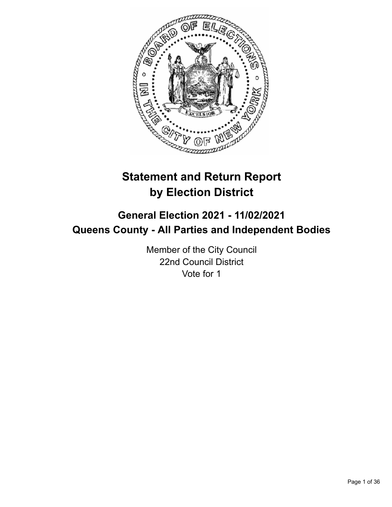

# **Statement and Return Report by Election District**

# **General Election 2021 - 11/02/2021 Queens County - All Parties and Independent Bodies**

Member of the City Council 22nd Council District Vote for 1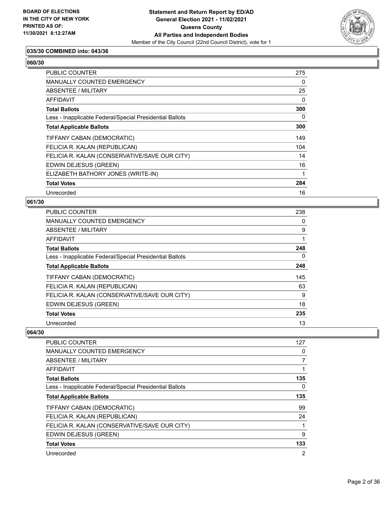

## **035/30 COMBINED into: 043/36**

# **060/30**

| PUBLIC COUNTER                                           | 275      |
|----------------------------------------------------------|----------|
| <b>MANUALLY COUNTED EMERGENCY</b>                        | 0        |
| ABSENTEE / MILITARY                                      | 25       |
| AFFIDAVIT                                                | $\Omega$ |
| <b>Total Ballots</b>                                     | 300      |
| Less - Inapplicable Federal/Special Presidential Ballots | 0        |
| <b>Total Applicable Ballots</b>                          | 300      |
| TIFFANY CABAN (DEMOCRATIC)                               | 149      |
| FELICIA R. KALAN (REPUBLICAN)                            | 104      |
| FELICIA R. KALAN (CONSERVATIVE/SAVE OUR CITY)            | 14       |
| EDWIN DEJESUS (GREEN)                                    | 16       |
| ELIZABETH BATHORY JONES (WRITE-IN)                       |          |
| <b>Total Votes</b>                                       | 284      |
| Unrecorded                                               | 16       |

#### **061/30**

| <b>PUBLIC COUNTER</b>                                    | 238 |
|----------------------------------------------------------|-----|
| <b>MANUALLY COUNTED EMERGENCY</b>                        | 0   |
| ABSENTEE / MILITARY                                      | 9   |
| AFFIDAVIT                                                |     |
| <b>Total Ballots</b>                                     | 248 |
| Less - Inapplicable Federal/Special Presidential Ballots | 0   |
| <b>Total Applicable Ballots</b>                          | 248 |
| TIFFANY CABAN (DEMOCRATIC)                               | 145 |
| FELICIA R. KALAN (REPUBLICAN)                            | 63  |
| FELICIA R. KALAN (CONSERVATIVE/SAVE OUR CITY)            | 9   |
| EDWIN DEJESUS (GREEN)                                    | 18  |
| <b>Total Votes</b>                                       | 235 |
| Unrecorded                                               | 13  |

| <b>PUBLIC COUNTER</b>                                    | 127            |
|----------------------------------------------------------|----------------|
| <b>MANUALLY COUNTED EMERGENCY</b>                        | 0              |
| ABSENTEE / MILITARY                                      | 7              |
| <b>AFFIDAVIT</b>                                         | 1              |
| <b>Total Ballots</b>                                     | 135            |
| Less - Inapplicable Federal/Special Presidential Ballots | 0              |
| <b>Total Applicable Ballots</b>                          | 135            |
| TIFFANY CABAN (DEMOCRATIC)                               | 99             |
| FELICIA R. KALAN (REPUBLICAN)                            | 24             |
| FELICIA R. KALAN (CONSERVATIVE/SAVE OUR CITY)            |                |
| EDWIN DEJESUS (GREEN)                                    | 9              |
| <b>Total Votes</b>                                       | 133            |
| Unrecorded                                               | $\overline{2}$ |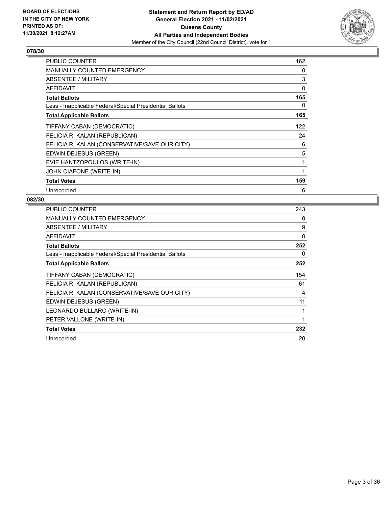

| PUBLIC COUNTER                                           | 162 |
|----------------------------------------------------------|-----|
| <b>MANUALLY COUNTED EMERGENCY</b>                        | 0   |
| <b>ABSENTEE / MILITARY</b>                               | 3   |
| AFFIDAVIT                                                | 0   |
| <b>Total Ballots</b>                                     | 165 |
| Less - Inapplicable Federal/Special Presidential Ballots | 0   |
| <b>Total Applicable Ballots</b>                          | 165 |
| TIFFANY CABAN (DEMOCRATIC)                               | 122 |
| FELICIA R. KALAN (REPUBLICAN)                            | 24  |
| FELICIA R. KALAN (CONSERVATIVE/SAVE OUR CITY)            | 6   |
| EDWIN DEJESUS (GREEN)                                    | 5   |
| EVIE HANTZOPOULOS (WRITE-IN)                             | 1   |
| JOHN CIAFONE (WRITE-IN)                                  | 1   |
| <b>Total Votes</b>                                       | 159 |
| Unrecorded                                               | 6   |

| PUBLIC COUNTER                                           | 243 |
|----------------------------------------------------------|-----|
| <b>MANUALLY COUNTED EMERGENCY</b>                        | 0   |
| <b>ABSENTEE / MILITARY</b>                               | 9   |
| <b>AFFIDAVIT</b>                                         | 0   |
| <b>Total Ballots</b>                                     | 252 |
| Less - Inapplicable Federal/Special Presidential Ballots | 0   |
| <b>Total Applicable Ballots</b>                          | 252 |
| TIFFANY CABAN (DEMOCRATIC)                               | 154 |
| FELICIA R. KALAN (REPUBLICAN)                            | 61  |
| FELICIA R. KALAN (CONSERVATIVE/SAVE OUR CITY)            | 4   |
| EDWIN DEJESUS (GREEN)                                    | 11  |
| LEONARDO BULLARO (WRITE-IN)                              | 1   |
| PETER VALLONE (WRITE-IN)                                 | 1   |
| <b>Total Votes</b>                                       | 232 |
| Unrecorded                                               | 20  |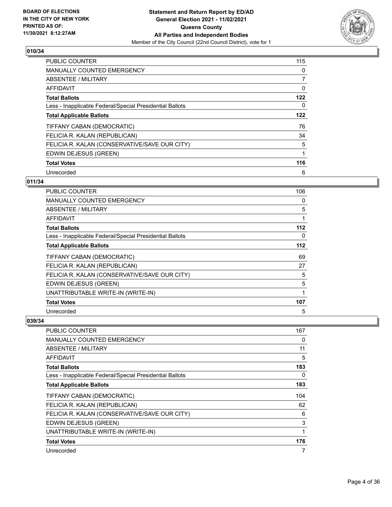

| <b>PUBLIC COUNTER</b>                                    | 115 |
|----------------------------------------------------------|-----|
| <b>MANUALLY COUNTED EMERGENCY</b>                        | 0   |
| ABSENTEE / MILITARY                                      | 7   |
| AFFIDAVIT                                                | 0   |
| <b>Total Ballots</b>                                     | 122 |
| Less - Inapplicable Federal/Special Presidential Ballots | 0   |
| <b>Total Applicable Ballots</b>                          | 122 |
| TIFFANY CABAN (DEMOCRATIC)                               | 76  |
| FELICIA R. KALAN (REPUBLICAN)                            | 34  |
| FELICIA R. KALAN (CONSERVATIVE/SAVE OUR CITY)            | 5   |
| EDWIN DEJESUS (GREEN)                                    | 1   |
| <b>Total Votes</b>                                       | 116 |
| Unrecorded                                               | 6   |

# **011/34**

| PUBLIC COUNTER                                           | 106 |
|----------------------------------------------------------|-----|
| <b>MANUALLY COUNTED EMERGENCY</b>                        | 0   |
| ABSENTEE / MILITARY                                      | 5   |
| AFFIDAVIT                                                | 1   |
| <b>Total Ballots</b>                                     | 112 |
| Less - Inapplicable Federal/Special Presidential Ballots | 0   |
| <b>Total Applicable Ballots</b>                          | 112 |
| TIFFANY CABAN (DEMOCRATIC)                               | 69  |
| FELICIA R. KALAN (REPUBLICAN)                            | 27  |
| FELICIA R. KALAN (CONSERVATIVE/SAVE OUR CITY)            | 5   |
| EDWIN DEJESUS (GREEN)                                    | 5   |
| UNATTRIBUTABLE WRITE-IN (WRITE-IN)                       |     |
| <b>Total Votes</b>                                       | 107 |
| Unrecorded                                               | 5   |

| PUBLIC COUNTER                                           | 167 |
|----------------------------------------------------------|-----|
| <b>MANUALLY COUNTED EMERGENCY</b>                        | 0   |
| ABSENTEE / MILITARY                                      | 11  |
| <b>AFFIDAVIT</b>                                         | 5   |
| <b>Total Ballots</b>                                     | 183 |
| Less - Inapplicable Federal/Special Presidential Ballots | 0   |
| <b>Total Applicable Ballots</b>                          | 183 |
| TIFFANY CABAN (DEMOCRATIC)                               | 104 |
| FELICIA R. KALAN (REPUBLICAN)                            | 62  |
| FELICIA R. KALAN (CONSERVATIVE/SAVE OUR CITY)            | 6   |
| EDWIN DEJESUS (GREEN)                                    | 3   |
| UNATTRIBUTABLE WRITE-IN (WRITE-IN)                       | 1   |
| <b>Total Votes</b>                                       | 176 |
| Unrecorded                                               | 7   |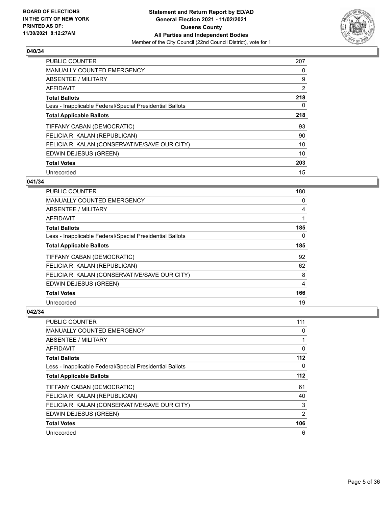

| <b>PUBLIC COUNTER</b>                                    | 207 |
|----------------------------------------------------------|-----|
| <b>MANUALLY COUNTED EMERGENCY</b>                        | 0   |
| ABSENTEE / MILITARY                                      | 9   |
| <b>AFFIDAVIT</b>                                         | 2   |
| <b>Total Ballots</b>                                     | 218 |
| Less - Inapplicable Federal/Special Presidential Ballots | 0   |
| <b>Total Applicable Ballots</b>                          | 218 |
| TIFFANY CABAN (DEMOCRATIC)                               | 93  |
| FELICIA R. KALAN (REPUBLICAN)                            | 90  |
| FELICIA R. KALAN (CONSERVATIVE/SAVE OUR CITY)            | 10  |
| EDWIN DEJESUS (GREEN)                                    | 10  |
| <b>Total Votes</b>                                       | 203 |
| Unrecorded                                               | 15  |

# **041/34**

| PUBLIC COUNTER                                           | 180 |
|----------------------------------------------------------|-----|
| <b>MANUALLY COUNTED EMERGENCY</b>                        | 0   |
| ABSENTEE / MILITARY                                      | 4   |
| AFFIDAVIT                                                |     |
| <b>Total Ballots</b>                                     | 185 |
| Less - Inapplicable Federal/Special Presidential Ballots | 0   |
| <b>Total Applicable Ballots</b>                          | 185 |
| TIFFANY CABAN (DEMOCRATIC)                               | 92  |
| FELICIA R. KALAN (REPUBLICAN)                            | 62  |
| FELICIA R. KALAN (CONSERVATIVE/SAVE OUR CITY)            | 8   |
| EDWIN DEJESUS (GREEN)                                    | 4   |
| <b>Total Votes</b>                                       | 166 |
| Unrecorded                                               | 19  |

| <b>PUBLIC COUNTER</b>                                    | 111            |
|----------------------------------------------------------|----------------|
| <b>MANUALLY COUNTED EMERGENCY</b>                        | 0              |
| ABSENTEE / MILITARY                                      |                |
| AFFIDAVIT                                                | 0              |
| <b>Total Ballots</b>                                     | 112            |
| Less - Inapplicable Federal/Special Presidential Ballots | 0              |
| <b>Total Applicable Ballots</b>                          | 112            |
| TIFFANY CABAN (DEMOCRATIC)                               | 61             |
| FELICIA R. KALAN (REPUBLICAN)                            | 40             |
| FELICIA R. KALAN (CONSERVATIVE/SAVE OUR CITY)            | 3              |
| EDWIN DEJESUS (GREEN)                                    | $\overline{2}$ |
| <b>Total Votes</b>                                       | 106            |
| Unrecorded                                               | 6              |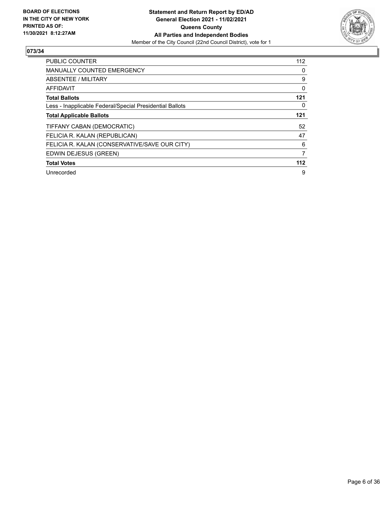

| <b>PUBLIC COUNTER</b>                                    | 112 |
|----------------------------------------------------------|-----|
| <b>MANUALLY COUNTED EMERGENCY</b>                        | 0   |
| ABSENTEE / MILITARY                                      | 9   |
| AFFIDAVIT                                                | 0   |
| <b>Total Ballots</b>                                     | 121 |
| Less - Inapplicable Federal/Special Presidential Ballots | 0   |
| <b>Total Applicable Ballots</b>                          | 121 |
| TIFFANY CABAN (DEMOCRATIC)                               | 52  |
| FELICIA R. KALAN (REPUBLICAN)                            | 47  |
| FELICIA R. KALAN (CONSERVATIVE/SAVE OUR CITY)            | 6   |
| EDWIN DEJESUS (GREEN)                                    | 7   |
| <b>Total Votes</b>                                       | 112 |
| Unrecorded                                               | 9   |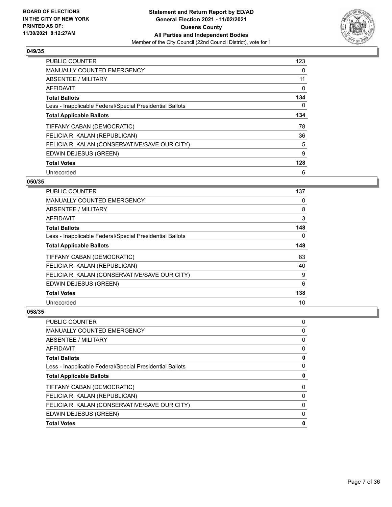

| <b>PUBLIC COUNTER</b>                                    | 123 |
|----------------------------------------------------------|-----|
| <b>MANUALLY COUNTED EMERGENCY</b>                        | 0   |
| ABSENTEE / MILITARY                                      | 11  |
| <b>AFFIDAVIT</b>                                         | 0   |
| <b>Total Ballots</b>                                     | 134 |
| Less - Inapplicable Federal/Special Presidential Ballots | 0   |
| <b>Total Applicable Ballots</b>                          | 134 |
| TIFFANY CABAN (DEMOCRATIC)                               | 78  |
| FELICIA R. KALAN (REPUBLICAN)                            | 36  |
| FELICIA R. KALAN (CONSERVATIVE/SAVE OUR CITY)            | 5   |
| EDWIN DEJESUS (GREEN)                                    | 9   |
| <b>Total Votes</b>                                       | 128 |
| Unrecorded                                               | 6   |

## **050/35**

| PUBLIC COUNTER                                           | 137 |
|----------------------------------------------------------|-----|
| MANUALLY COUNTED EMERGENCY                               | 0   |
| ABSENTEE / MILITARY                                      | 8   |
| AFFIDAVIT                                                | 3   |
| <b>Total Ballots</b>                                     | 148 |
| Less - Inapplicable Federal/Special Presidential Ballots | 0   |
| <b>Total Applicable Ballots</b>                          | 148 |
| TIFFANY CABAN (DEMOCRATIC)                               | 83  |
| FELICIA R. KALAN (REPUBLICAN)                            | 40  |
| FELICIA R. KALAN (CONSERVATIVE/SAVE OUR CITY)            | 9   |
| EDWIN DEJESUS (GREEN)                                    | 6   |
| <b>Total Votes</b>                                       | 138 |
| Unrecorded                                               | 10  |

| PUBLIC COUNTER                                           | 0 |
|----------------------------------------------------------|---|
| <b>MANUALLY COUNTED EMERGENCY</b>                        | 0 |
| ABSENTEE / MILITARY                                      | 0 |
| AFFIDAVIT                                                | 0 |
| <b>Total Ballots</b>                                     | 0 |
| Less - Inapplicable Federal/Special Presidential Ballots | 0 |
| <b>Total Applicable Ballots</b>                          | 0 |
|                                                          |   |
| TIFFANY CABAN (DEMOCRATIC)                               | 0 |
| FELICIA R. KALAN (REPUBLICAN)                            | 0 |
| FELICIA R. KALAN (CONSERVATIVE/SAVE OUR CITY)            | 0 |
| EDWIN DEJESUS (GREEN)                                    | 0 |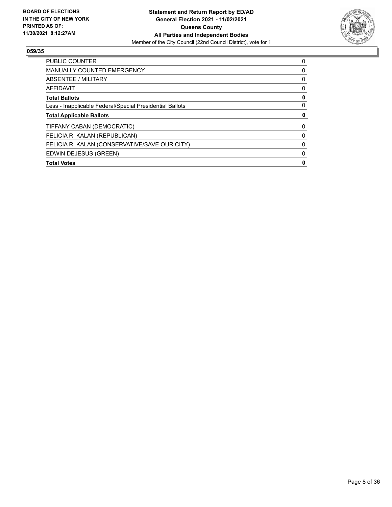

| <b>PUBLIC COUNTER</b>                                    | 0 |
|----------------------------------------------------------|---|
| <b>MANUALLY COUNTED EMERGENCY</b>                        | 0 |
| ABSENTEE / MILITARY                                      | 0 |
| AFFIDAVIT                                                | 0 |
| <b>Total Ballots</b>                                     | 0 |
| Less - Inapplicable Federal/Special Presidential Ballots | 0 |
| <b>Total Applicable Ballots</b>                          |   |
| TIFFANY CABAN (DEMOCRATIC)                               | 0 |
| FELICIA R. KALAN (REPUBLICAN)                            | 0 |
| FELICIA R. KALAN (CONSERVATIVE/SAVE OUR CITY)            | 0 |
| EDWIN DEJESUS (GREEN)                                    | 0 |
| <b>Total Votes</b>                                       | 0 |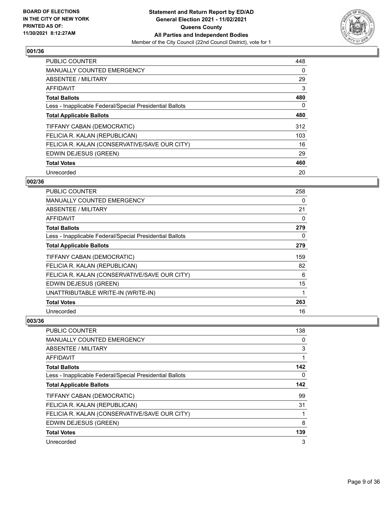

| <b>PUBLIC COUNTER</b>                                    | 448 |
|----------------------------------------------------------|-----|
| <b>MANUALLY COUNTED EMERGENCY</b>                        | 0   |
| ABSENTEE / MILITARY                                      | 29  |
| <b>AFFIDAVIT</b>                                         | 3   |
| <b>Total Ballots</b>                                     | 480 |
| Less - Inapplicable Federal/Special Presidential Ballots | 0   |
| <b>Total Applicable Ballots</b>                          | 480 |
| TIFFANY CABAN (DEMOCRATIC)                               | 312 |
| FELICIA R. KALAN (REPUBLICAN)                            | 103 |
| FELICIA R. KALAN (CONSERVATIVE/SAVE OUR CITY)            | 16  |
| EDWIN DEJESUS (GREEN)                                    | 29  |
| <b>Total Votes</b>                                       | 460 |
| Unrecorded                                               | 20  |

## **002/36**

| PUBLIC COUNTER                                           | 258 |
|----------------------------------------------------------|-----|
| <b>MANUALLY COUNTED EMERGENCY</b>                        | 0   |
| ABSENTEE / MILITARY                                      | 21  |
| AFFIDAVIT                                                | 0   |
| <b>Total Ballots</b>                                     | 279 |
| Less - Inapplicable Federal/Special Presidential Ballots | 0   |
| <b>Total Applicable Ballots</b>                          | 279 |
| TIFFANY CABAN (DEMOCRATIC)                               | 159 |
| FELICIA R. KALAN (REPUBLICAN)                            | 82  |
| FELICIA R. KALAN (CONSERVATIVE/SAVE OUR CITY)            | 6   |
| EDWIN DEJESUS (GREEN)                                    | 15  |
| UNATTRIBUTABLE WRITE-IN (WRITE-IN)                       | 1   |
| <b>Total Votes</b>                                       | 263 |
| Unrecorded                                               | 16  |

| PUBLIC COUNTER                                           | 138 |
|----------------------------------------------------------|-----|
| MANUALLY COUNTED EMERGENCY                               | 0   |
| ABSENTEE / MILITARY                                      | 3   |
| AFFIDAVIT                                                |     |
| <b>Total Ballots</b>                                     | 142 |
| Less - Inapplicable Federal/Special Presidential Ballots | 0   |
| <b>Total Applicable Ballots</b>                          | 142 |
| TIFFANY CABAN (DEMOCRATIC)                               | 99  |
| FELICIA R. KALAN (REPUBLICAN)                            | 31  |
| FELICIA R. KALAN (CONSERVATIVE/SAVE OUR CITY)            | 1   |
| EDWIN DEJESUS (GREEN)                                    | 8   |
| <b>Total Votes</b>                                       | 139 |
| Unrecorded                                               | 3   |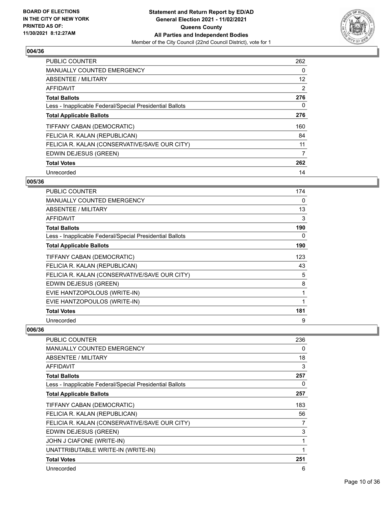

| <b>PUBLIC COUNTER</b>                                    | 262      |
|----------------------------------------------------------|----------|
| MANUALLY COUNTED EMERGENCY                               | 0        |
| ABSENTEE / MILITARY                                      | 12       |
| AFFIDAVIT                                                | 2        |
| <b>Total Ballots</b>                                     | 276      |
| Less - Inapplicable Federal/Special Presidential Ballots | $\Omega$ |
| <b>Total Applicable Ballots</b>                          | 276      |
| TIFFANY CABAN (DEMOCRATIC)                               | 160      |
| FELICIA R. KALAN (REPUBLICAN)                            | 84       |
| FELICIA R. KALAN (CONSERVATIVE/SAVE OUR CITY)            | 11       |
| EDWIN DEJESUS (GREEN)                                    | 7        |
| <b>Total Votes</b>                                       | 262      |
| Unrecorded                                               | 14       |

## **005/36**

| <b>PUBLIC COUNTER</b>                                    | 174 |
|----------------------------------------------------------|-----|
| <b>MANUALLY COUNTED EMERGENCY</b>                        | 0   |
| <b>ABSENTEE / MILITARY</b>                               | 13  |
| <b>AFFIDAVIT</b>                                         | 3   |
| <b>Total Ballots</b>                                     | 190 |
| Less - Inapplicable Federal/Special Presidential Ballots | 0   |
| <b>Total Applicable Ballots</b>                          | 190 |
| TIFFANY CABAN (DEMOCRATIC)                               | 123 |
| FELICIA R. KALAN (REPUBLICAN)                            | 43  |
| FELICIA R. KALAN (CONSERVATIVE/SAVE OUR CITY)            | 5   |
| EDWIN DEJESUS (GREEN)                                    | 8   |
| EVIE HANTZOPOLOUS (WRITE-IN)                             | 1   |
| EVIE HANTZOPOULOS (WRITE-IN)                             | 1   |
| <b>Total Votes</b>                                       | 181 |
| Unrecorded                                               | 9   |

| PUBLIC COUNTER                                           | 236          |
|----------------------------------------------------------|--------------|
| <b>MANUALLY COUNTED EMERGENCY</b>                        | 0            |
| <b>ABSENTEE / MILITARY</b>                               | 18           |
| <b>AFFIDAVIT</b>                                         | 3            |
| <b>Total Ballots</b>                                     | 257          |
| Less - Inapplicable Federal/Special Presidential Ballots | 0            |
| <b>Total Applicable Ballots</b>                          | 257          |
| TIFFANY CABAN (DEMOCRATIC)                               | 183          |
| FELICIA R. KALAN (REPUBLICAN)                            | 56           |
| FELICIA R. KALAN (CONSERVATIVE/SAVE OUR CITY)            | 7            |
| EDWIN DEJESUS (GREEN)                                    | 3            |
| JOHN J CIAFONE (WRITE-IN)                                | 1            |
| UNATTRIBUTABLE WRITE-IN (WRITE-IN)                       | $\mathbf{1}$ |
| <b>Total Votes</b>                                       | 251          |
| Unrecorded                                               | 6            |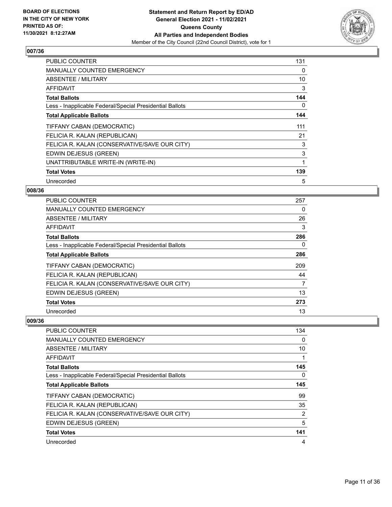

| <b>PUBLIC COUNTER</b>                                    | 131 |
|----------------------------------------------------------|-----|
| <b>MANUALLY COUNTED EMERGENCY</b>                        | 0   |
| ABSENTEE / MILITARY                                      | 10  |
| <b>AFFIDAVIT</b>                                         | 3   |
| <b>Total Ballots</b>                                     | 144 |
| Less - Inapplicable Federal/Special Presidential Ballots | 0   |
| <b>Total Applicable Ballots</b>                          | 144 |
| TIFFANY CABAN (DEMOCRATIC)                               | 111 |
| FELICIA R. KALAN (REPUBLICAN)                            | 21  |
| FELICIA R. KALAN (CONSERVATIVE/SAVE OUR CITY)            | 3   |
| EDWIN DEJESUS (GREEN)                                    | 3   |
| UNATTRIBUTABLE WRITE-IN (WRITE-IN)                       | 1   |
| <b>Total Votes</b>                                       | 139 |
| Unrecorded                                               | 5   |

## **008/36**

| PUBLIC COUNTER                                           | 257 |
|----------------------------------------------------------|-----|
| <b>MANUALLY COUNTED EMERGENCY</b>                        | 0   |
| ABSENTEE / MILITARY                                      | 26  |
| AFFIDAVIT                                                | 3   |
| <b>Total Ballots</b>                                     | 286 |
| Less - Inapplicable Federal/Special Presidential Ballots | 0   |
| <b>Total Applicable Ballots</b>                          | 286 |
| TIFFANY CABAN (DEMOCRATIC)                               | 209 |
| FELICIA R. KALAN (REPUBLICAN)                            | 44  |
| FELICIA R. KALAN (CONSERVATIVE/SAVE OUR CITY)            | 7   |
| EDWIN DEJESUS (GREEN)                                    | 13  |
| <b>Total Votes</b>                                       | 273 |
| Unrecorded                                               | 13  |

| PUBLIC COUNTER                                           | 134      |
|----------------------------------------------------------|----------|
| <b>MANUALLY COUNTED EMERGENCY</b>                        | $\Omega$ |
| ABSENTEE / MILITARY                                      | 10       |
| AFFIDAVIT                                                |          |
| <b>Total Ballots</b>                                     | 145      |
| Less - Inapplicable Federal/Special Presidential Ballots | 0        |
| <b>Total Applicable Ballots</b>                          | 145      |
| TIFFANY CABAN (DEMOCRATIC)                               | 99       |
| FELICIA R. KALAN (REPUBLICAN)                            | 35       |
| FELICIA R. KALAN (CONSERVATIVE/SAVE OUR CITY)            | 2        |
| EDWIN DEJESUS (GREEN)                                    | 5        |
| <b>Total Votes</b>                                       | 141      |
| Unrecorded                                               | 4        |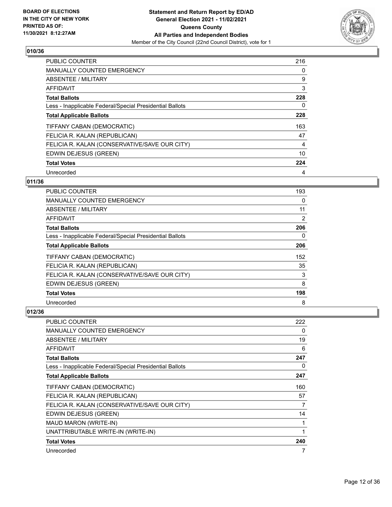

| <b>PUBLIC COUNTER</b>                                    | 216 |
|----------------------------------------------------------|-----|
| <b>MANUALLY COUNTED EMERGENCY</b>                        | 0   |
| ABSENTEE / MILITARY                                      | 9   |
| <b>AFFIDAVIT</b>                                         | 3   |
| <b>Total Ballots</b>                                     | 228 |
| Less - Inapplicable Federal/Special Presidential Ballots | 0   |
| <b>Total Applicable Ballots</b>                          | 228 |
| TIFFANY CABAN (DEMOCRATIC)                               | 163 |
| FELICIA R. KALAN (REPUBLICAN)                            | 47  |
| FELICIA R. KALAN (CONSERVATIVE/SAVE OUR CITY)            | 4   |
| EDWIN DEJESUS (GREEN)                                    | 10  |
| <b>Total Votes</b>                                       | 224 |
| Unrecorded                                               | 4   |

## **011/36**

| PUBLIC COUNTER                                           | 193      |
|----------------------------------------------------------|----------|
| <b>MANUALLY COUNTED EMERGENCY</b>                        | $\Omega$ |
| ABSENTEE / MILITARY                                      | 11       |
| AFFIDAVIT                                                | 2        |
| <b>Total Ballots</b>                                     | 206      |
| Less - Inapplicable Federal/Special Presidential Ballots | 0        |
| <b>Total Applicable Ballots</b>                          | 206      |
| TIFFANY CABAN (DEMOCRATIC)                               | 152      |
| FELICIA R. KALAN (REPUBLICAN)                            | 35       |
| FELICIA R. KALAN (CONSERVATIVE/SAVE OUR CITY)            | 3        |
| EDWIN DEJESUS (GREEN)                                    | 8        |
| <b>Total Votes</b>                                       | 198      |
| Unrecorded                                               | 8        |

| <b>PUBLIC COUNTER</b>                                    | 222 |
|----------------------------------------------------------|-----|
| <b>MANUALLY COUNTED EMERGENCY</b>                        | 0   |
| <b>ABSENTEE / MILITARY</b>                               | 19  |
| AFFIDAVIT                                                | 6   |
| <b>Total Ballots</b>                                     | 247 |
| Less - Inapplicable Federal/Special Presidential Ballots | 0   |
| <b>Total Applicable Ballots</b>                          | 247 |
| TIFFANY CABAN (DEMOCRATIC)                               | 160 |
| FELICIA R. KALAN (REPUBLICAN)                            | 57  |
| FELICIA R. KALAN (CONSERVATIVE/SAVE OUR CITY)            | 7   |
| EDWIN DEJESUS (GREEN)                                    | 14  |
| MAUD MARON (WRITE-IN)                                    |     |
| UNATTRIBUTABLE WRITE-IN (WRITE-IN)                       |     |
| <b>Total Votes</b>                                       | 240 |
| Unrecorded                                               | 7   |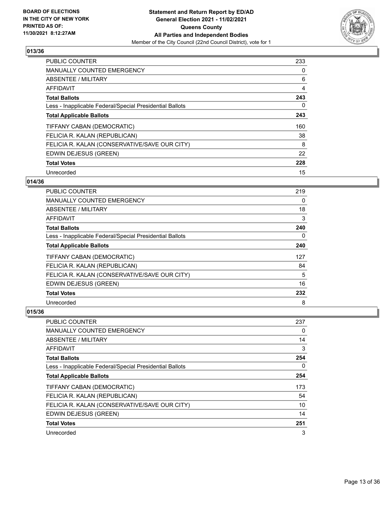

| <b>PUBLIC COUNTER</b>                                    | 233 |
|----------------------------------------------------------|-----|
| <b>MANUALLY COUNTED EMERGENCY</b>                        | 0   |
| ABSENTEE / MILITARY                                      | 6   |
| <b>AFFIDAVIT</b>                                         | 4   |
| <b>Total Ballots</b>                                     | 243 |
| Less - Inapplicable Federal/Special Presidential Ballots | 0   |
| <b>Total Applicable Ballots</b>                          | 243 |
| TIFFANY CABAN (DEMOCRATIC)                               | 160 |
| FELICIA R. KALAN (REPUBLICAN)                            | 38  |
| FELICIA R. KALAN (CONSERVATIVE/SAVE OUR CITY)            | 8   |
| EDWIN DEJESUS (GREEN)                                    | 22  |
| <b>Total Votes</b>                                       | 228 |
| Unrecorded                                               | 15  |

# **014/36**

| PUBLIC COUNTER                                           | 219      |
|----------------------------------------------------------|----------|
| <b>MANUALLY COUNTED EMERGENCY</b>                        | $\Omega$ |
| ABSENTEE / MILITARY                                      | 18       |
| AFFIDAVIT                                                | 3        |
| <b>Total Ballots</b>                                     | 240      |
| Less - Inapplicable Federal/Special Presidential Ballots | $\Omega$ |
| <b>Total Applicable Ballots</b>                          | 240      |
| TIFFANY CABAN (DEMOCRATIC)                               | 127      |
| FELICIA R. KALAN (REPUBLICAN)                            | 84       |
| FELICIA R. KALAN (CONSERVATIVE/SAVE OUR CITY)            | 5        |
| EDWIN DEJESUS (GREEN)                                    | 16       |
| <b>Total Votes</b>                                       | 232      |
| Unrecorded                                               | 8        |

| PUBLIC COUNTER                                           | 237 |
|----------------------------------------------------------|-----|
| <b>MANUALLY COUNTED EMERGENCY</b>                        | 0   |
| ABSENTEE / MILITARY                                      | 14  |
| AFFIDAVIT                                                | 3   |
| <b>Total Ballots</b>                                     | 254 |
| Less - Inapplicable Federal/Special Presidential Ballots | 0   |
| <b>Total Applicable Ballots</b>                          | 254 |
| TIFFANY CABAN (DEMOCRATIC)                               | 173 |
| FELICIA R. KALAN (REPUBLICAN)                            | 54  |
| FELICIA R. KALAN (CONSERVATIVE/SAVE OUR CITY)            | 10  |
| EDWIN DEJESUS (GREEN)                                    | 14  |
| <b>Total Votes</b>                                       | 251 |
| Unrecorded                                               | 3   |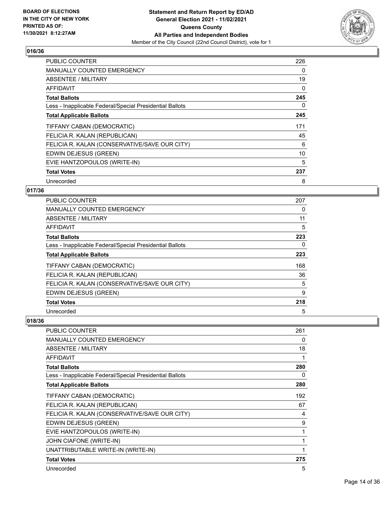

| <b>PUBLIC COUNTER</b>                                    | 226 |
|----------------------------------------------------------|-----|
| <b>MANUALLY COUNTED EMERGENCY</b>                        | 0   |
| ABSENTEE / MILITARY                                      | 19  |
| AFFIDAVIT                                                | 0   |
| <b>Total Ballots</b>                                     | 245 |
| Less - Inapplicable Federal/Special Presidential Ballots | 0   |
| <b>Total Applicable Ballots</b>                          | 245 |
| TIFFANY CABAN (DEMOCRATIC)                               | 171 |
| FELICIA R. KALAN (REPUBLICAN)                            | 45  |
| FELICIA R. KALAN (CONSERVATIVE/SAVE OUR CITY)            | 6   |
| EDWIN DEJESUS (GREEN)                                    | 10  |
| EVIE HANTZOPOULOS (WRITE-IN)                             | 5   |
| <b>Total Votes</b>                                       | 237 |
| Unrecorded                                               | 8   |

## **017/36**

| <b>PUBLIC COUNTER</b>                                    | 207 |
|----------------------------------------------------------|-----|
| MANUALLY COUNTED EMERGENCY                               | 0   |
| ABSENTEE / MILITARY                                      | 11  |
| AFFIDAVIT                                                | 5   |
| <b>Total Ballots</b>                                     | 223 |
| Less - Inapplicable Federal/Special Presidential Ballots | 0   |
| <b>Total Applicable Ballots</b>                          | 223 |
| TIFFANY CABAN (DEMOCRATIC)                               | 168 |
| FELICIA R. KALAN (REPUBLICAN)                            | 36  |
| FELICIA R. KALAN (CONSERVATIVE/SAVE OUR CITY)            | 5   |
| EDWIN DEJESUS (GREEN)                                    | 9   |
| <b>Total Votes</b>                                       | 218 |
| Unrecorded                                               | 5   |

| <b>PUBLIC COUNTER</b>                                    | 261 |
|----------------------------------------------------------|-----|
| <b>MANUALLY COUNTED EMERGENCY</b>                        | 0   |
| ABSENTEE / MILITARY                                      | 18  |
| <b>AFFIDAVIT</b>                                         | 1   |
| <b>Total Ballots</b>                                     | 280 |
| Less - Inapplicable Federal/Special Presidential Ballots | 0   |
| <b>Total Applicable Ballots</b>                          | 280 |
| TIFFANY CABAN (DEMOCRATIC)                               | 192 |
| FELICIA R. KALAN (REPUBLICAN)                            | 67  |
| FELICIA R. KALAN (CONSERVATIVE/SAVE OUR CITY)            | 4   |
| EDWIN DEJESUS (GREEN)                                    | 9   |
| EVIE HANTZOPOULOS (WRITE-IN)                             | 1   |
| JOHN CIAFONE (WRITE-IN)                                  | 1   |
| UNATTRIBUTABLE WRITE-IN (WRITE-IN)                       | 1   |
| <b>Total Votes</b>                                       | 275 |
| Unrecorded                                               | 5   |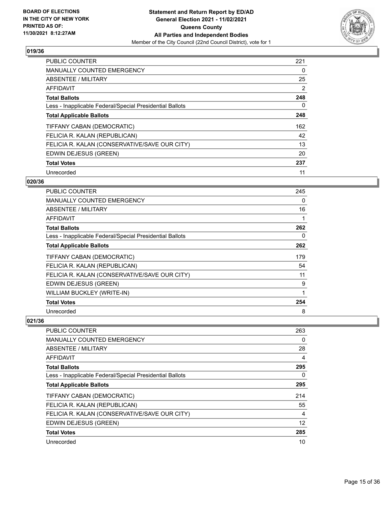

| <b>PUBLIC COUNTER</b>                                    | 221 |
|----------------------------------------------------------|-----|
| <b>MANUALLY COUNTED EMERGENCY</b>                        | 0   |
| ABSENTEE / MILITARY                                      | 25  |
| <b>AFFIDAVIT</b>                                         | 2   |
| <b>Total Ballots</b>                                     | 248 |
| Less - Inapplicable Federal/Special Presidential Ballots | 0   |
| <b>Total Applicable Ballots</b>                          | 248 |
| TIFFANY CABAN (DEMOCRATIC)                               | 162 |
| FELICIA R. KALAN (REPUBLICAN)                            | 42  |
| FELICIA R. KALAN (CONSERVATIVE/SAVE OUR CITY)            | 13  |
| EDWIN DEJESUS (GREEN)                                    | 20  |
| <b>Total Votes</b>                                       | 237 |
| Unrecorded                                               | 11  |

# **020/36**

| <b>PUBLIC COUNTER</b>                                    | 245 |
|----------------------------------------------------------|-----|
| MANUALLY COUNTED EMERGENCY                               | 0   |
| ABSENTEE / MILITARY                                      | 16  |
| AFFIDAVIT                                                | 1   |
| <b>Total Ballots</b>                                     | 262 |
| Less - Inapplicable Federal/Special Presidential Ballots | 0   |
| <b>Total Applicable Ballots</b>                          | 262 |
| TIFFANY CABAN (DEMOCRATIC)                               | 179 |
| FELICIA R. KALAN (REPUBLICAN)                            | 54  |
| FELICIA R. KALAN (CONSERVATIVE/SAVE OUR CITY)            | 11  |
| EDWIN DEJESUS (GREEN)                                    | 9   |
| <b>WILLIAM BUCKLEY (WRITE-IN)</b>                        | 1   |
| <b>Total Votes</b>                                       | 254 |
| Unrecorded                                               | 8   |

| PUBLIC COUNTER                                           | 263      |
|----------------------------------------------------------|----------|
| <b>MANUALLY COUNTED EMERGENCY</b>                        | 0        |
| ABSENTEE / MILITARY                                      | 28       |
| AFFIDAVIT                                                | 4        |
| <b>Total Ballots</b>                                     | 295      |
| Less - Inapplicable Federal/Special Presidential Ballots | $\Omega$ |
| <b>Total Applicable Ballots</b>                          | 295      |
| TIFFANY CABAN (DEMOCRATIC)                               | 214      |
| FELICIA R. KALAN (REPUBLICAN)                            | 55       |
| FELICIA R. KALAN (CONSERVATIVE/SAVE OUR CITY)            | 4        |
| EDWIN DEJESUS (GREEN)                                    | 12       |
| <b>Total Votes</b>                                       | 285      |
| Unrecorded                                               | 10       |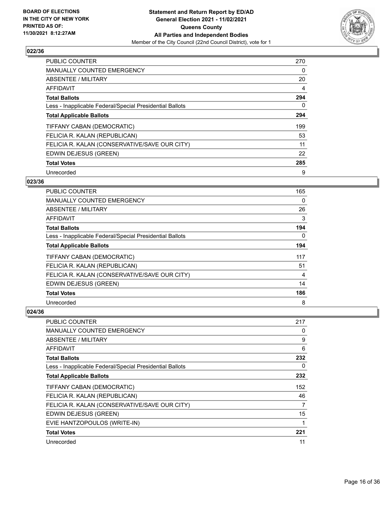

| <b>PUBLIC COUNTER</b>                                    | 270      |
|----------------------------------------------------------|----------|
| <b>MANUALLY COUNTED EMERGENCY</b>                        | 0        |
| ABSENTEE / MILITARY                                      | 20       |
| <b>AFFIDAVIT</b>                                         | 4        |
| <b>Total Ballots</b>                                     | 294      |
| Less - Inapplicable Federal/Special Presidential Ballots | $\Omega$ |
| <b>Total Applicable Ballots</b>                          | 294      |
| TIFFANY CABAN (DEMOCRATIC)                               | 199      |
| FELICIA R. KALAN (REPUBLICAN)                            | 53       |
| FELICIA R. KALAN (CONSERVATIVE/SAVE OUR CITY)            | 11       |
| EDWIN DEJESUS (GREEN)                                    | 22       |
| <b>Total Votes</b>                                       | 285      |
| Unrecorded                                               | 9        |

# **023/36**

| <b>PUBLIC COUNTER</b>                                    | 165      |
|----------------------------------------------------------|----------|
| <b>MANUALLY COUNTED EMERGENCY</b>                        | $\Omega$ |
| ABSENTEE / MILITARY                                      | 26       |
| AFFIDAVIT                                                | 3        |
| <b>Total Ballots</b>                                     | 194      |
| Less - Inapplicable Federal/Special Presidential Ballots | $\Omega$ |
| <b>Total Applicable Ballots</b>                          | 194      |
| TIFFANY CABAN (DEMOCRATIC)                               | 117      |
| FELICIA R. KALAN (REPUBLICAN)                            | 51       |
| FELICIA R. KALAN (CONSERVATIVE/SAVE OUR CITY)            | 4        |
| EDWIN DEJESUS (GREEN)                                    | 14       |
| <b>Total Votes</b>                                       | 186      |
| Unrecorded                                               | 8        |

| PUBLIC COUNTER                                           | 217      |
|----------------------------------------------------------|----------|
| <b>MANUALLY COUNTED EMERGENCY</b>                        | 0        |
| ABSENTEE / MILITARY                                      | 9        |
| AFFIDAVIT                                                | 6        |
| <b>Total Ballots</b>                                     | 232      |
| Less - Inapplicable Federal/Special Presidential Ballots | $\Omega$ |
| <b>Total Applicable Ballots</b>                          | 232      |
| TIFFANY CABAN (DEMOCRATIC)                               | 152      |
| FELICIA R. KALAN (REPUBLICAN)                            | 46       |
| FELICIA R. KALAN (CONSERVATIVE/SAVE OUR CITY)            | 7        |
| EDWIN DEJESUS (GREEN)                                    | 15       |
| EVIE HANTZOPOULOS (WRITE-IN)                             | 1        |
| <b>Total Votes</b>                                       | 221      |
| Unrecorded                                               | 11       |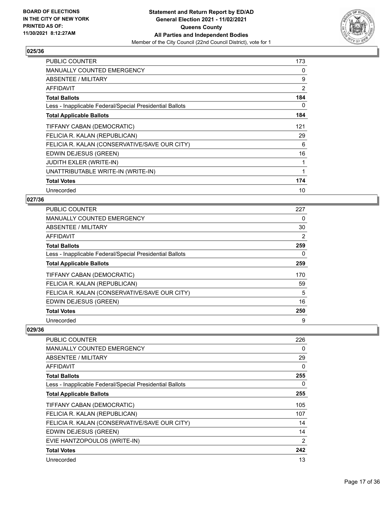

| PUBLIC COUNTER                                           | 173 |
|----------------------------------------------------------|-----|
| <b>MANUALLY COUNTED EMERGENCY</b>                        | 0   |
| <b>ABSENTEE / MILITARY</b>                               | 9   |
| <b>AFFIDAVIT</b>                                         | 2   |
| <b>Total Ballots</b>                                     | 184 |
| Less - Inapplicable Federal/Special Presidential Ballots | 0   |
| <b>Total Applicable Ballots</b>                          | 184 |
| TIFFANY CABAN (DEMOCRATIC)                               | 121 |
| FELICIA R. KALAN (REPUBLICAN)                            | 29  |
| FELICIA R. KALAN (CONSERVATIVE/SAVE OUR CITY)            | 6   |
| EDWIN DEJESUS (GREEN)                                    | 16  |
| <b>JUDITH EXLER (WRITE-IN)</b>                           | 1   |
| UNATTRIBUTABLE WRITE-IN (WRITE-IN)                       | 1   |
| <b>Total Votes</b>                                       | 174 |
| Unrecorded                                               | 10  |

## **027/36**

| <b>PUBLIC COUNTER</b>                                    | 227 |
|----------------------------------------------------------|-----|
| <b>MANUALLY COUNTED EMERGENCY</b>                        | 0   |
| ABSENTEE / MILITARY                                      | 30  |
| <b>AFFIDAVIT</b>                                         | 2   |
| <b>Total Ballots</b>                                     | 259 |
| Less - Inapplicable Federal/Special Presidential Ballots | 0   |
| <b>Total Applicable Ballots</b>                          | 259 |
| TIFFANY CABAN (DEMOCRATIC)                               | 170 |
| FELICIA R. KALAN (REPUBLICAN)                            | 59  |
| FELICIA R. KALAN (CONSERVATIVE/SAVE OUR CITY)            | 5   |
| EDWIN DEJESUS (GREEN)                                    | 16  |
| <b>Total Votes</b>                                       | 250 |
| Unrecorded                                               | 9   |

| PUBLIC COUNTER                                           | 226 |
|----------------------------------------------------------|-----|
| <b>MANUALLY COUNTED EMERGENCY</b>                        | 0   |
| ABSENTEE / MILITARY                                      | 29  |
| AFFIDAVIT                                                | 0   |
| <b>Total Ballots</b>                                     | 255 |
| Less - Inapplicable Federal/Special Presidential Ballots | 0   |
| <b>Total Applicable Ballots</b>                          | 255 |
| TIFFANY CABAN (DEMOCRATIC)                               | 105 |
| FELICIA R. KALAN (REPUBLICAN)                            | 107 |
| FELICIA R. KALAN (CONSERVATIVE/SAVE OUR CITY)            | 14  |
| EDWIN DEJESUS (GREEN)                                    | 14  |
| EVIE HANTZOPOULOS (WRITE-IN)                             | 2   |
| <b>Total Votes</b>                                       | 242 |
| Unrecorded                                               | 13  |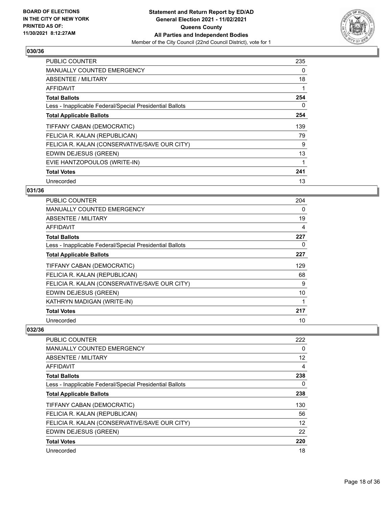

| <b>PUBLIC COUNTER</b>                                    | 235 |
|----------------------------------------------------------|-----|
| <b>MANUALLY COUNTED EMERGENCY</b>                        | 0   |
| <b>ABSENTEE / MILITARY</b>                               | 18  |
| AFFIDAVIT                                                | 1   |
| <b>Total Ballots</b>                                     | 254 |
| Less - Inapplicable Federal/Special Presidential Ballots | 0   |
| <b>Total Applicable Ballots</b>                          | 254 |
| TIFFANY CABAN (DEMOCRATIC)                               | 139 |
| FELICIA R. KALAN (REPUBLICAN)                            | 79  |
| FELICIA R. KALAN (CONSERVATIVE/SAVE OUR CITY)            | 9   |
| EDWIN DEJESUS (GREEN)                                    | 13  |
| EVIE HANTZOPOULOS (WRITE-IN)                             | 1   |
| <b>Total Votes</b>                                       | 241 |
| Unrecorded                                               | 13  |

## **031/36**

| <b>PUBLIC COUNTER</b>                                    | 204 |
|----------------------------------------------------------|-----|
| <b>MANUALLY COUNTED EMERGENCY</b>                        | 0   |
| ABSENTEE / MILITARY                                      | 19  |
| AFFIDAVIT                                                | 4   |
| <b>Total Ballots</b>                                     | 227 |
| Less - Inapplicable Federal/Special Presidential Ballots | 0   |
| <b>Total Applicable Ballots</b>                          | 227 |
| TIFFANY CABAN (DEMOCRATIC)                               | 129 |
| FELICIA R. KALAN (REPUBLICAN)                            | 68  |
| FELICIA R. KALAN (CONSERVATIVE/SAVE OUR CITY)            | 9   |
| EDWIN DEJESUS (GREEN)                                    | 10  |
| KATHRYN MADIGAN (WRITE-IN)                               |     |
| <b>Total Votes</b>                                       | 217 |
| Unrecorded                                               | 10  |

| <b>PUBLIC COUNTER</b>                                    | 222 |
|----------------------------------------------------------|-----|
| <b>MANUALLY COUNTED EMERGENCY</b>                        | 0   |
| ABSENTEE / MILITARY                                      | 12  |
| AFFIDAVIT                                                | 4   |
| <b>Total Ballots</b>                                     | 238 |
| Less - Inapplicable Federal/Special Presidential Ballots | 0   |
| <b>Total Applicable Ballots</b>                          | 238 |
| TIFFANY CABAN (DEMOCRATIC)                               | 130 |
| FELICIA R. KALAN (REPUBLICAN)                            | 56  |
| FELICIA R. KALAN (CONSERVATIVE/SAVE OUR CITY)            | 12  |
| EDWIN DEJESUS (GREEN)                                    | 22  |
| <b>Total Votes</b>                                       | 220 |
| Unrecorded                                               | 18  |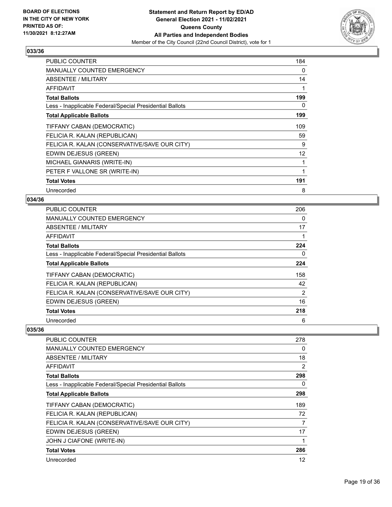

| PUBLIC COUNTER                                           | 184          |
|----------------------------------------------------------|--------------|
| <b>MANUALLY COUNTED EMERGENCY</b>                        | 0            |
| <b>ABSENTEE / MILITARY</b>                               | 14           |
| <b>AFFIDAVIT</b>                                         | $\mathbf{1}$ |
| <b>Total Ballots</b>                                     | 199          |
| Less - Inapplicable Federal/Special Presidential Ballots | 0            |
| <b>Total Applicable Ballots</b>                          | 199          |
| TIFFANY CABAN (DEMOCRATIC)                               | 109          |
| FELICIA R. KALAN (REPUBLICAN)                            | 59           |
| FELICIA R. KALAN (CONSERVATIVE/SAVE OUR CITY)            | 9            |
| EDWIN DEJESUS (GREEN)                                    | 12           |
| MICHAEL GIANARIS (WRITE-IN)                              | 1            |
| PETER F VALLONE SR (WRITE-IN)                            | 1            |
| <b>Total Votes</b>                                       | 191          |
| Unrecorded                                               | 8            |

## **034/36**

| PUBLIC COUNTER                                           | 206            |
|----------------------------------------------------------|----------------|
| <b>MANUALLY COUNTED EMERGENCY</b>                        | 0              |
| ABSENTEE / MILITARY                                      | 17             |
| AFFIDAVIT                                                |                |
| <b>Total Ballots</b>                                     | 224            |
| Less - Inapplicable Federal/Special Presidential Ballots | 0              |
| <b>Total Applicable Ballots</b>                          | 224            |
| TIFFANY CABAN (DEMOCRATIC)                               | 158            |
| FELICIA R. KALAN (REPUBLICAN)                            | 42             |
| FELICIA R. KALAN (CONSERVATIVE/SAVE OUR CITY)            | $\overline{2}$ |
| EDWIN DEJESUS (GREEN)                                    | 16             |
| <b>Total Votes</b>                                       | 218            |
| Unrecorded                                               | 6              |

| PUBLIC COUNTER                                           | 278 |
|----------------------------------------------------------|-----|
| <b>MANUALLY COUNTED EMERGENCY</b>                        | 0   |
| <b>ABSENTEE / MILITARY</b>                               | 18  |
| AFFIDAVIT                                                | 2   |
| <b>Total Ballots</b>                                     | 298 |
| Less - Inapplicable Federal/Special Presidential Ballots | 0   |
| <b>Total Applicable Ballots</b>                          | 298 |
| TIFFANY CABAN (DEMOCRATIC)                               | 189 |
| FELICIA R. KALAN (REPUBLICAN)                            | 72  |
| FELICIA R. KALAN (CONSERVATIVE/SAVE OUR CITY)            | 7   |
| EDWIN DEJESUS (GREEN)                                    | 17  |
| JOHN J CIAFONE (WRITE-IN)                                |     |
| <b>Total Votes</b>                                       | 286 |
| Unrecorded                                               | 12  |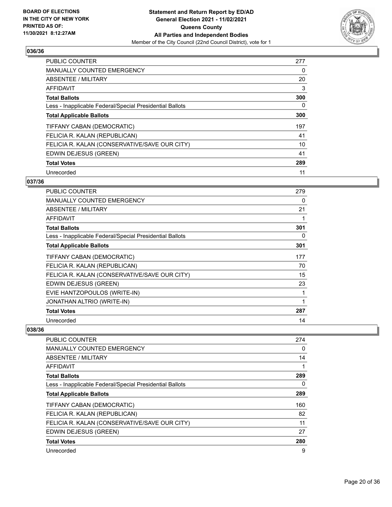

| <b>PUBLIC COUNTER</b>                                    | 277 |
|----------------------------------------------------------|-----|
| <b>MANUALLY COUNTED EMERGENCY</b>                        | 0   |
| ABSENTEE / MILITARY                                      | 20  |
| <b>AFFIDAVIT</b>                                         | 3   |
| <b>Total Ballots</b>                                     | 300 |
| Less - Inapplicable Federal/Special Presidential Ballots | 0   |
| <b>Total Applicable Ballots</b>                          | 300 |
| TIFFANY CABAN (DEMOCRATIC)                               | 197 |
| FELICIA R. KALAN (REPUBLICAN)                            | 41  |
| FELICIA R. KALAN (CONSERVATIVE/SAVE OUR CITY)            | 10  |
| EDWIN DEJESUS (GREEN)                                    | 41  |
| <b>Total Votes</b>                                       | 289 |
| Unrecorded                                               | 11  |

# **037/36**

| PUBLIC COUNTER                                           | 279 |
|----------------------------------------------------------|-----|
| <b>MANUALLY COUNTED EMERGENCY</b>                        | 0   |
| <b>ABSENTEE / MILITARY</b>                               | 21  |
| AFFIDAVIT                                                |     |
| <b>Total Ballots</b>                                     | 301 |
| Less - Inapplicable Federal/Special Presidential Ballots | 0   |
| <b>Total Applicable Ballots</b>                          | 301 |
| TIFFANY CABAN (DEMOCRATIC)                               | 177 |
| FELICIA R. KALAN (REPUBLICAN)                            | 70  |
| FELICIA R. KALAN (CONSERVATIVE/SAVE OUR CITY)            | 15  |
| EDWIN DEJESUS (GREEN)                                    | 23  |
| EVIE HANTZOPOULOS (WRITE-IN)                             |     |
| JONATHAN ALTRIO (WRITE-IN)                               | 1   |
| <b>Total Votes</b>                                       | 287 |
| Unrecorded                                               | 14  |

| <b>PUBLIC COUNTER</b>                                    | 274 |
|----------------------------------------------------------|-----|
| <b>MANUALLY COUNTED EMERGENCY</b>                        | 0   |
| ABSENTEE / MILITARY                                      | 14  |
| AFFIDAVIT                                                |     |
| <b>Total Ballots</b>                                     | 289 |
| Less - Inapplicable Federal/Special Presidential Ballots | 0   |
| <b>Total Applicable Ballots</b>                          | 289 |
| TIFFANY CABAN (DEMOCRATIC)                               | 160 |
| FELICIA R. KALAN (REPUBLICAN)                            | 82  |
| FELICIA R. KALAN (CONSERVATIVE/SAVE OUR CITY)            | 11  |
| EDWIN DEJESUS (GREEN)                                    | 27  |
| <b>Total Votes</b>                                       | 280 |
| Unrecorded                                               | 9   |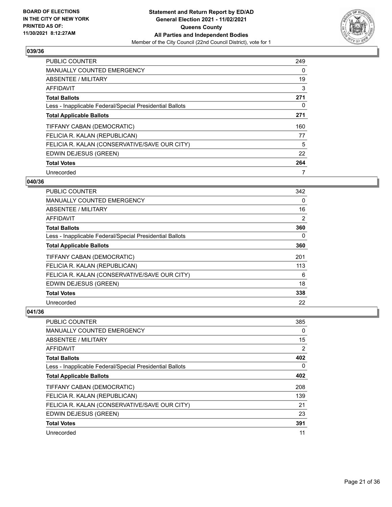

| <b>PUBLIC COUNTER</b>                                    | 249 |
|----------------------------------------------------------|-----|
| <b>MANUALLY COUNTED EMERGENCY</b>                        | 0   |
| ABSENTEE / MILITARY                                      | 19  |
| <b>AFFIDAVIT</b>                                         | 3   |
| <b>Total Ballots</b>                                     | 271 |
| Less - Inapplicable Federal/Special Presidential Ballots | 0   |
| <b>Total Applicable Ballots</b>                          | 271 |
| TIFFANY CABAN (DEMOCRATIC)                               | 160 |
| FELICIA R. KALAN (REPUBLICAN)                            | 77  |
| FELICIA R. KALAN (CONSERVATIVE/SAVE OUR CITY)            | 5   |
| EDWIN DEJESUS (GREEN)                                    | 22  |
| <b>Total Votes</b>                                       | 264 |
| Unrecorded                                               | 7   |

## **040/36**

| <b>PUBLIC COUNTER</b>                                    | 342      |
|----------------------------------------------------------|----------|
| <b>MANUALLY COUNTED EMERGENCY</b>                        | $\Omega$ |
| ABSENTEE / MILITARY                                      | 16       |
| AFFIDAVIT                                                | 2        |
| <b>Total Ballots</b>                                     | 360      |
| Less - Inapplicable Federal/Special Presidential Ballots | 0        |
| <b>Total Applicable Ballots</b>                          | 360      |
| TIFFANY CABAN (DEMOCRATIC)                               | 201      |
| FELICIA R. KALAN (REPUBLICAN)                            | 113      |
| FELICIA R. KALAN (CONSERVATIVE/SAVE OUR CITY)            | 6        |
| EDWIN DEJESUS (GREEN)                                    | 18       |
| <b>Total Votes</b>                                       | 338      |
| Unrecorded                                               | 22       |

| <b>PUBLIC COUNTER</b>                                    | 385 |
|----------------------------------------------------------|-----|
| <b>MANUALLY COUNTED EMERGENCY</b>                        | 0   |
| ABSENTEE / MILITARY                                      | 15  |
| AFFIDAVIT                                                | 2   |
| <b>Total Ballots</b>                                     | 402 |
| Less - Inapplicable Federal/Special Presidential Ballots | 0   |
| <b>Total Applicable Ballots</b>                          | 402 |
| TIFFANY CABAN (DEMOCRATIC)                               | 208 |
| FELICIA R. KALAN (REPUBLICAN)                            | 139 |
| FELICIA R. KALAN (CONSERVATIVE/SAVE OUR CITY)            | 21  |
| EDWIN DEJESUS (GREEN)                                    | 23  |
| <b>Total Votes</b>                                       | 391 |
| Unrecorded                                               | 11  |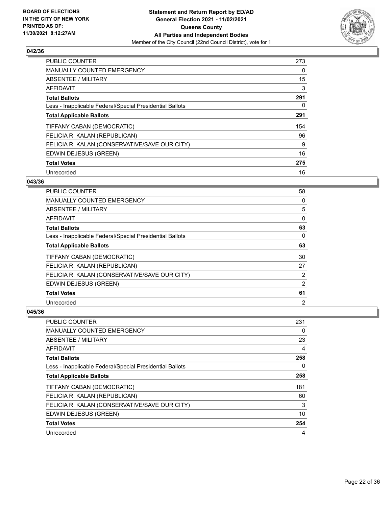

| <b>PUBLIC COUNTER</b>                                    | 273 |
|----------------------------------------------------------|-----|
| <b>MANUALLY COUNTED EMERGENCY</b>                        | 0   |
| ABSENTEE / MILITARY                                      | 15  |
| <b>AFFIDAVIT</b>                                         | 3   |
| <b>Total Ballots</b>                                     | 291 |
| Less - Inapplicable Federal/Special Presidential Ballots | 0   |
| <b>Total Applicable Ballots</b>                          | 291 |
| TIFFANY CABAN (DEMOCRATIC)                               | 154 |
| FELICIA R. KALAN (REPUBLICAN)                            | 96  |
| FELICIA R. KALAN (CONSERVATIVE/SAVE OUR CITY)            | 9   |
| EDWIN DEJESUS (GREEN)                                    | 16  |
| <b>Total Votes</b>                                       | 275 |
| Unrecorded                                               | 16  |

## **043/36**

| <b>PUBLIC COUNTER</b>                                    | 58             |
|----------------------------------------------------------|----------------|
| MANUALLY COUNTED EMERGENCY                               | 0              |
| ABSENTEE / MILITARY                                      | 5              |
| AFFIDAVIT                                                | 0              |
| <b>Total Ballots</b>                                     | 63             |
| Less - Inapplicable Federal/Special Presidential Ballots | $\Omega$       |
| <b>Total Applicable Ballots</b>                          | 63             |
| TIFFANY CABAN (DEMOCRATIC)                               | 30             |
| FELICIA R. KALAN (REPUBLICAN)                            | 27             |
| FELICIA R. KALAN (CONSERVATIVE/SAVE OUR CITY)            | 2              |
| EDWIN DEJESUS (GREEN)                                    | 2              |
| <b>Total Votes</b>                                       | 61             |
| Unrecorded                                               | $\overline{2}$ |

| <b>PUBLIC COUNTER</b>                                    | 231 |
|----------------------------------------------------------|-----|
| <b>MANUALLY COUNTED EMERGENCY</b>                        | 0   |
| ABSENTEE / MILITARY                                      | 23  |
| AFFIDAVIT                                                | 4   |
| <b>Total Ballots</b>                                     | 258 |
| Less - Inapplicable Federal/Special Presidential Ballots | 0   |
| <b>Total Applicable Ballots</b>                          | 258 |
| TIFFANY CABAN (DEMOCRATIC)                               | 181 |
| FELICIA R. KALAN (REPUBLICAN)                            | 60  |
| FELICIA R. KALAN (CONSERVATIVE/SAVE OUR CITY)            | 3   |
| EDWIN DEJESUS (GREEN)                                    | 10  |
| <b>Total Votes</b>                                       | 254 |
| Unrecorded                                               | 4   |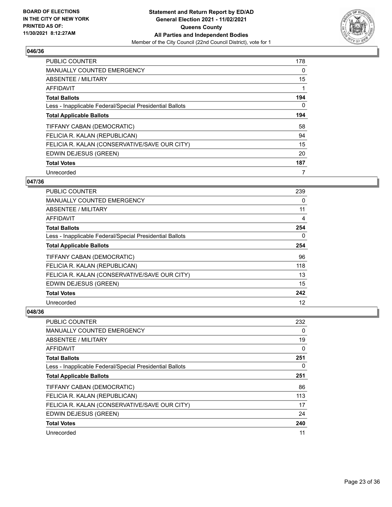

| <b>PUBLIC COUNTER</b>                                    | 178      |
|----------------------------------------------------------|----------|
| <b>MANUALLY COUNTED EMERGENCY</b>                        | 0        |
| ABSENTEE / MILITARY                                      | 15       |
| <b>AFFIDAVIT</b>                                         |          |
| <b>Total Ballots</b>                                     | 194      |
| Less - Inapplicable Federal/Special Presidential Ballots | $\Omega$ |
| <b>Total Applicable Ballots</b>                          | 194      |
| TIFFANY CABAN (DEMOCRATIC)                               | 58       |
| FELICIA R. KALAN (REPUBLICAN)                            | 94       |
| FELICIA R. KALAN (CONSERVATIVE/SAVE OUR CITY)            | 15       |
| EDWIN DEJESUS (GREEN)                                    | 20       |
| <b>Total Votes</b>                                       | 187      |
| Unrecorded                                               | 7        |

## **047/36**

| <b>PUBLIC COUNTER</b>                                    | 239 |
|----------------------------------------------------------|-----|
| MANUALLY COUNTED EMERGENCY                               | 0   |
| ABSENTEE / MILITARY                                      | 11  |
| AFFIDAVIT                                                | 4   |
| <b>Total Ballots</b>                                     | 254 |
| Less - Inapplicable Federal/Special Presidential Ballots | 0   |
| <b>Total Applicable Ballots</b>                          | 254 |
| TIFFANY CABAN (DEMOCRATIC)                               | 96  |
| FELICIA R. KALAN (REPUBLICAN)                            | 118 |
| FELICIA R. KALAN (CONSERVATIVE/SAVE OUR CITY)            | 13  |
| EDWIN DEJESUS (GREEN)                                    | 15  |
| <b>Total Votes</b>                                       | 242 |
| Unrecorded                                               | 12  |

| PUBLIC COUNTER                                           | 232      |
|----------------------------------------------------------|----------|
| <b>MANUALLY COUNTED EMERGENCY</b>                        | 0        |
| ABSENTEE / MILITARY                                      | 19       |
| AFFIDAVIT                                                | 0        |
| <b>Total Ballots</b>                                     | 251      |
| Less - Inapplicable Federal/Special Presidential Ballots | $\Omega$ |
| <b>Total Applicable Ballots</b>                          | 251      |
| TIFFANY CABAN (DEMOCRATIC)                               | 86       |
| FELICIA R. KALAN (REPUBLICAN)                            | 113      |
| FELICIA R. KALAN (CONSERVATIVE/SAVE OUR CITY)            | 17       |
| EDWIN DEJESUS (GREEN)                                    | 24       |
| <b>Total Votes</b>                                       | 240      |
| Unrecorded                                               | 11       |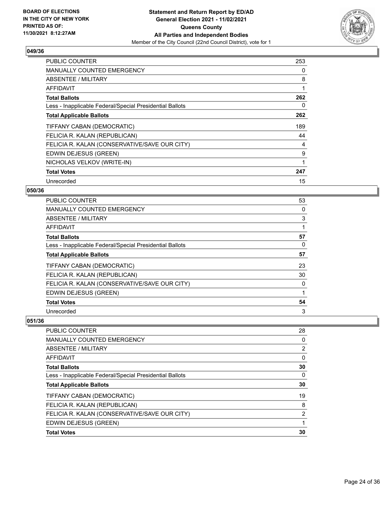

| <b>PUBLIC COUNTER</b>                                    | 253 |
|----------------------------------------------------------|-----|
| <b>MANUALLY COUNTED EMERGENCY</b>                        | 0   |
| ABSENTEE / MILITARY                                      | 8   |
| AFFIDAVIT                                                | 1   |
| <b>Total Ballots</b>                                     | 262 |
| Less - Inapplicable Federal/Special Presidential Ballots | 0   |
| <b>Total Applicable Ballots</b>                          | 262 |
| TIFFANY CABAN (DEMOCRATIC)                               | 189 |
| FELICIA R. KALAN (REPUBLICAN)                            | 44  |
| FELICIA R. KALAN (CONSERVATIVE/SAVE OUR CITY)            | 4   |
| EDWIN DEJESUS (GREEN)                                    | 9   |
| NICHOLAS VELKOV (WRITE-IN)                               | 1   |
| <b>Total Votes</b>                                       | 247 |
| Unrecorded                                               | 15  |

## **050/36**

| PUBLIC COUNTER                                           | 53 |
|----------------------------------------------------------|----|
| MANUALLY COUNTED EMERGENCY                               | 0  |
| ABSENTEE / MILITARY                                      | 3  |
| AFFIDAVIT                                                |    |
| <b>Total Ballots</b>                                     | 57 |
| Less - Inapplicable Federal/Special Presidential Ballots | 0  |
| <b>Total Applicable Ballots</b>                          | 57 |
| TIFFANY CABAN (DEMOCRATIC)                               | 23 |
| FELICIA R. KALAN (REPUBLICAN)                            | 30 |
| FELICIA R. KALAN (CONSERVATIVE/SAVE OUR CITY)            | 0  |
| EDWIN DEJESUS (GREEN)                                    | 1  |
| <b>Total Votes</b>                                       | 54 |
| Unrecorded                                               | 3  |

| PUBLIC COUNTER                                           | 28             |
|----------------------------------------------------------|----------------|
| <b>MANUALLY COUNTED EMERGENCY</b>                        | 0              |
| ABSENTEE / MILITARY                                      | 2              |
| AFFIDAVIT                                                | 0              |
| <b>Total Ballots</b>                                     | 30             |
| Less - Inapplicable Federal/Special Presidential Ballots | 0              |
| <b>Total Applicable Ballots</b>                          | 30             |
| TIFFANY CABAN (DEMOCRATIC)                               | 19             |
| FELICIA R. KALAN (REPUBLICAN)                            | 8              |
| FELICIA R. KALAN (CONSERVATIVE/SAVE OUR CITY)            | $\overline{2}$ |
| EDWIN DEJESUS (GREEN)                                    |                |
| <b>Total Votes</b>                                       | 30             |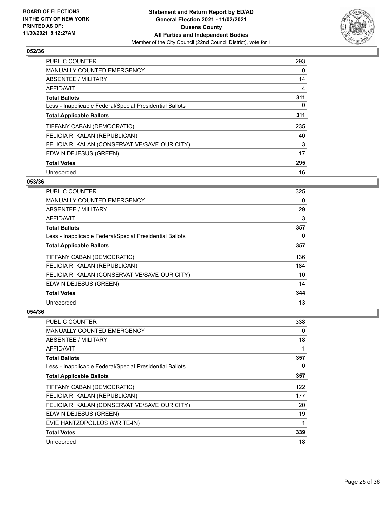

| <b>PUBLIC COUNTER</b>                                    | 293 |
|----------------------------------------------------------|-----|
| <b>MANUALLY COUNTED EMERGENCY</b>                        | 0   |
| ABSENTEE / MILITARY                                      | 14  |
| <b>AFFIDAVIT</b>                                         | 4   |
| <b>Total Ballots</b>                                     | 311 |
| Less - Inapplicable Federal/Special Presidential Ballots | 0   |
| <b>Total Applicable Ballots</b>                          | 311 |
| TIFFANY CABAN (DEMOCRATIC)                               | 235 |
| FELICIA R. KALAN (REPUBLICAN)                            | 40  |
| FELICIA R. KALAN (CONSERVATIVE/SAVE OUR CITY)            | 3   |
| EDWIN DEJESUS (GREEN)                                    | 17  |
| <b>Total Votes</b>                                       | 295 |
| Unrecorded                                               | 16  |

# **053/36**

| <b>PUBLIC COUNTER</b>                                    | 325 |
|----------------------------------------------------------|-----|
| <b>MANUALLY COUNTED EMERGENCY</b>                        | 0   |
| ABSENTEE / MILITARY                                      | 29  |
| AFFIDAVIT                                                | 3   |
| <b>Total Ballots</b>                                     | 357 |
| Less - Inapplicable Federal/Special Presidential Ballots | 0   |
| <b>Total Applicable Ballots</b>                          | 357 |
| TIFFANY CABAN (DEMOCRATIC)                               | 136 |
| FELICIA R. KALAN (REPUBLICAN)                            | 184 |
| FELICIA R. KALAN (CONSERVATIVE/SAVE OUR CITY)            | 10  |
| EDWIN DEJESUS (GREEN)                                    | 14  |
| <b>Total Votes</b>                                       | 344 |
| Unrecorded                                               | 13  |

| PUBLIC COUNTER                                           | 338      |
|----------------------------------------------------------|----------|
| <b>MANUALLY COUNTED EMERGENCY</b>                        | 0        |
| ABSENTEE / MILITARY                                      | 18       |
| AFFIDAVIT                                                | 1        |
| <b>Total Ballots</b>                                     | 357      |
| Less - Inapplicable Federal/Special Presidential Ballots | $\Omega$ |
| <b>Total Applicable Ballots</b>                          | 357      |
| TIFFANY CABAN (DEMOCRATIC)                               | 122      |
| FELICIA R. KALAN (REPUBLICAN)                            | 177      |
| FELICIA R. KALAN (CONSERVATIVE/SAVE OUR CITY)            | 20       |
| EDWIN DEJESUS (GREEN)                                    | 19       |
| EVIE HANTZOPOULOS (WRITE-IN)                             | 1        |
| <b>Total Votes</b>                                       | 339      |
| Unrecorded                                               | 18       |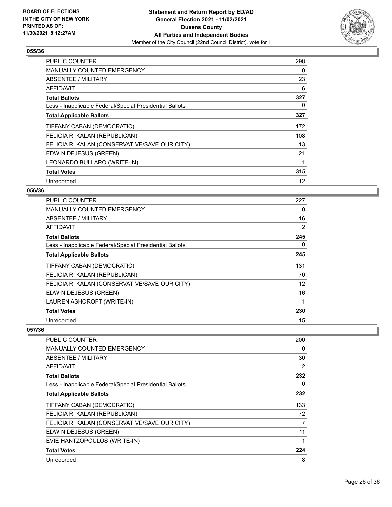

| <b>PUBLIC COUNTER</b>                                    | 298 |
|----------------------------------------------------------|-----|
| <b>MANUALLY COUNTED EMERGENCY</b>                        | 0   |
| <b>ABSENTEE / MILITARY</b>                               | 23  |
| <b>AFFIDAVIT</b>                                         | 6   |
| <b>Total Ballots</b>                                     | 327 |
| Less - Inapplicable Federal/Special Presidential Ballots | 0   |
| <b>Total Applicable Ballots</b>                          | 327 |
| TIFFANY CABAN (DEMOCRATIC)                               | 172 |
| FELICIA R. KALAN (REPUBLICAN)                            | 108 |
| FELICIA R. KALAN (CONSERVATIVE/SAVE OUR CITY)            | 13  |
| EDWIN DEJESUS (GREEN)                                    | 21  |
| LEONARDO BULLARO (WRITE-IN)                              | 1   |
| <b>Total Votes</b>                                       | 315 |
| Unrecorded                                               | 12  |

## **056/36**

| PUBLIC COUNTER                                           | 227 |
|----------------------------------------------------------|-----|
| <b>MANUALLY COUNTED EMERGENCY</b>                        | 0   |
| ABSENTEE / MILITARY                                      | 16  |
| AFFIDAVIT                                                | 2   |
| <b>Total Ballots</b>                                     | 245 |
| Less - Inapplicable Federal/Special Presidential Ballots | 0   |
| <b>Total Applicable Ballots</b>                          | 245 |
| TIFFANY CABAN (DEMOCRATIC)                               | 131 |
| FELICIA R. KALAN (REPUBLICAN)                            | 70  |
| FELICIA R. KALAN (CONSERVATIVE/SAVE OUR CITY)            | 12  |
| EDWIN DEJESUS (GREEN)                                    | 16  |
| LAUREN ASHCROFT (WRITE-IN)                               | 1   |
| <b>Total Votes</b>                                       | 230 |
| Unrecorded                                               | 15  |

| PUBLIC COUNTER                                           | 200 |
|----------------------------------------------------------|-----|
| <b>MANUALLY COUNTED EMERGENCY</b>                        | 0   |
| <b>ABSENTEE / MILITARY</b>                               | 30  |
| AFFIDAVIT                                                | 2   |
| <b>Total Ballots</b>                                     | 232 |
| Less - Inapplicable Federal/Special Presidential Ballots | 0   |
| <b>Total Applicable Ballots</b>                          | 232 |
| TIFFANY CABAN (DEMOCRATIC)                               | 133 |
| FELICIA R. KALAN (REPUBLICAN)                            | 72  |
| FELICIA R. KALAN (CONSERVATIVE/SAVE OUR CITY)            | 7   |
| EDWIN DEJESUS (GREEN)                                    | 11  |
| EVIE HANTZOPOULOS (WRITE-IN)                             |     |
| <b>Total Votes</b>                                       | 224 |
| Unrecorded                                               | 8   |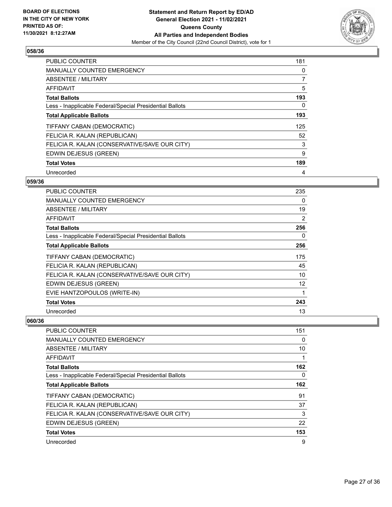

| <b>PUBLIC COUNTER</b>                                    | 181 |
|----------------------------------------------------------|-----|
| <b>MANUALLY COUNTED EMERGENCY</b>                        | 0   |
| ABSENTEE / MILITARY                                      | 7   |
| <b>AFFIDAVIT</b>                                         | 5   |
| <b>Total Ballots</b>                                     | 193 |
| Less - Inapplicable Federal/Special Presidential Ballots | 0   |
| <b>Total Applicable Ballots</b>                          | 193 |
| TIFFANY CABAN (DEMOCRATIC)                               | 125 |
| FELICIA R. KALAN (REPUBLICAN)                            | 52  |
| FELICIA R. KALAN (CONSERVATIVE/SAVE OUR CITY)            | 3   |
| EDWIN DEJESUS (GREEN)                                    | 9   |
| <b>Total Votes</b>                                       | 189 |
| Unrecorded                                               | 4   |

## **059/36**

| PUBLIC COUNTER                                           | 235               |
|----------------------------------------------------------|-------------------|
| <b>MANUALLY COUNTED EMERGENCY</b>                        | 0                 |
| ABSENTEE / MILITARY                                      | 19                |
| <b>AFFIDAVIT</b>                                         | $\overline{2}$    |
| <b>Total Ballots</b>                                     | 256               |
| Less - Inapplicable Federal/Special Presidential Ballots | 0                 |
| <b>Total Applicable Ballots</b>                          | 256               |
| TIFFANY CABAN (DEMOCRATIC)                               | 175               |
| FELICIA R. KALAN (REPUBLICAN)                            | 45                |
| FELICIA R. KALAN (CONSERVATIVE/SAVE OUR CITY)            | 10                |
| EDWIN DEJESUS (GREEN)                                    | $12 \overline{ }$ |
| EVIE HANTZOPOULOS (WRITE-IN)                             | 1                 |
| <b>Total Votes</b>                                       | 243               |
| Unrecorded                                               | 13                |

| PUBLIC COUNTER                                           | 151 |
|----------------------------------------------------------|-----|
| <b>MANUALLY COUNTED EMERGENCY</b>                        | 0   |
| ABSENTEE / MILITARY                                      | 10  |
| AFFIDAVIT                                                |     |
| <b>Total Ballots</b>                                     | 162 |
| Less - Inapplicable Federal/Special Presidential Ballots | 0   |
| <b>Total Applicable Ballots</b>                          | 162 |
| TIFFANY CABAN (DEMOCRATIC)                               | 91  |
| FELICIA R. KALAN (REPUBLICAN)                            | 37  |
| FELICIA R. KALAN (CONSERVATIVE/SAVE OUR CITY)            | 3   |
| EDWIN DEJESUS (GREEN)                                    | 22  |
| <b>Total Votes</b>                                       | 153 |
| Unrecorded                                               | 9   |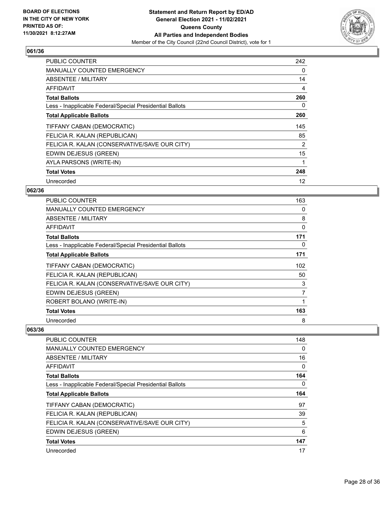

| PUBLIC COUNTER                                           | 242 |
|----------------------------------------------------------|-----|
| <b>MANUALLY COUNTED EMERGENCY</b>                        | 0   |
| <b>ABSENTEE / MILITARY</b>                               | 14  |
| <b>AFFIDAVIT</b>                                         | 4   |
| <b>Total Ballots</b>                                     | 260 |
| Less - Inapplicable Federal/Special Presidential Ballots | 0   |
| <b>Total Applicable Ballots</b>                          | 260 |
| TIFFANY CABAN (DEMOCRATIC)                               | 145 |
| FELICIA R. KALAN (REPUBLICAN)                            | 85  |
| FELICIA R. KALAN (CONSERVATIVE/SAVE OUR CITY)            | 2   |
|                                                          |     |
| EDWIN DEJESUS (GREEN)                                    | 15  |
| AYLA PARSONS (WRITE-IN)                                  | 1   |
| <b>Total Votes</b>                                       | 248 |

## **062/36**

| <b>PUBLIC COUNTER</b>                                    | 163 |
|----------------------------------------------------------|-----|
| MANUALLY COUNTED EMERGENCY                               | 0   |
| ABSENTEE / MILITARY                                      | 8   |
| AFFIDAVIT                                                | 0   |
| <b>Total Ballots</b>                                     | 171 |
| Less - Inapplicable Federal/Special Presidential Ballots | 0   |
| <b>Total Applicable Ballots</b>                          | 171 |
| TIFFANY CABAN (DEMOCRATIC)                               | 102 |
| FELICIA R. KALAN (REPUBLICAN)                            | 50  |
| FELICIA R. KALAN (CONSERVATIVE/SAVE OUR CITY)            | 3   |
| EDWIN DEJESUS (GREEN)                                    | 7   |
| ROBERT BOLANO (WRITE-IN)                                 | 1   |
| <b>Total Votes</b>                                       | 163 |
| Unrecorded                                               | 8   |

| <b>PUBLIC COUNTER</b>                                    | 148 |
|----------------------------------------------------------|-----|
| <b>MANUALLY COUNTED EMERGENCY</b>                        | 0   |
| ABSENTEE / MILITARY                                      | 16  |
| AFFIDAVIT                                                | 0   |
| <b>Total Ballots</b>                                     | 164 |
| Less - Inapplicable Federal/Special Presidential Ballots | 0   |
| <b>Total Applicable Ballots</b>                          | 164 |
| TIFFANY CABAN (DEMOCRATIC)                               | 97  |
| FELICIA R. KALAN (REPUBLICAN)                            | 39  |
| FELICIA R. KALAN (CONSERVATIVE/SAVE OUR CITY)            | 5   |
| EDWIN DEJESUS (GREEN)                                    | 6   |
| <b>Total Votes</b>                                       | 147 |
| Unrecorded                                               | 17  |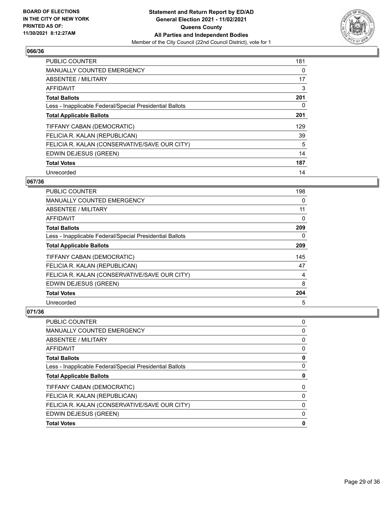

| <b>PUBLIC COUNTER</b>                                    | 181 |
|----------------------------------------------------------|-----|
| <b>MANUALLY COUNTED EMERGENCY</b>                        | 0   |
| ABSENTEE / MILITARY                                      | 17  |
| <b>AFFIDAVIT</b>                                         | 3   |
| <b>Total Ballots</b>                                     | 201 |
| Less - Inapplicable Federal/Special Presidential Ballots | 0   |
| <b>Total Applicable Ballots</b>                          | 201 |
| TIFFANY CABAN (DEMOCRATIC)                               | 129 |
| FELICIA R. KALAN (REPUBLICAN)                            | 39  |
| FELICIA R. KALAN (CONSERVATIVE/SAVE OUR CITY)            | 5   |
| EDWIN DEJESUS (GREEN)                                    | 14  |
| <b>Total Votes</b>                                       | 187 |
| Unrecorded                                               | 14  |

## **067/36**

| <b>PUBLIC COUNTER</b>                                    | 198      |
|----------------------------------------------------------|----------|
| MANUALLY COUNTED EMERGENCY                               | 0        |
| ABSENTEE / MILITARY                                      | 11       |
| AFFIDAVIT                                                | 0        |
| <b>Total Ballots</b>                                     | 209      |
| Less - Inapplicable Federal/Special Presidential Ballots | $\Omega$ |
| <b>Total Applicable Ballots</b>                          | 209      |
| TIFFANY CABAN (DEMOCRATIC)                               | 145      |
| FELICIA R. KALAN (REPUBLICAN)                            | 47       |
| FELICIA R. KALAN (CONSERVATIVE/SAVE OUR CITY)            | 4        |
| EDWIN DEJESUS (GREEN)                                    | 8        |
| <b>Total Votes</b>                                       | 204      |
| Unrecorded                                               | 5        |

| PUBLIC COUNTER                                           | 0 |
|----------------------------------------------------------|---|
| <b>MANUALLY COUNTED EMERGENCY</b>                        | 0 |
| ABSENTEE / MILITARY                                      | 0 |
| AFFIDAVIT                                                | 0 |
| <b>Total Ballots</b>                                     | 0 |
| Less - Inapplicable Federal/Special Presidential Ballots | 0 |
| <b>Total Applicable Ballots</b>                          | 0 |
| TIFFANY CABAN (DEMOCRATIC)                               | 0 |
| FELICIA R. KALAN (REPUBLICAN)                            | 0 |
| FELICIA R. KALAN (CONSERVATIVE/SAVE OUR CITY)            | 0 |
| EDWIN DEJESUS (GREEN)                                    | 0 |
| <b>Total Votes</b>                                       | 0 |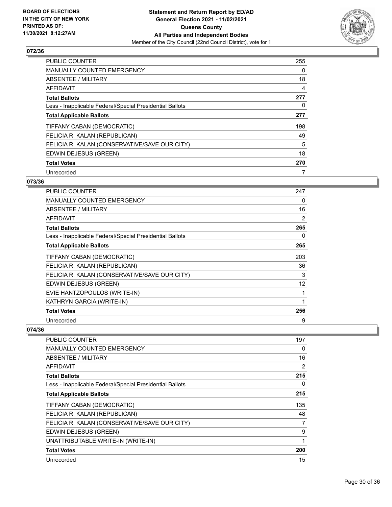

| <b>PUBLIC COUNTER</b>                                    | 255 |
|----------------------------------------------------------|-----|
| <b>MANUALLY COUNTED EMERGENCY</b>                        | 0   |
| ABSENTEE / MILITARY                                      | 18  |
| <b>AFFIDAVIT</b>                                         | 4   |
| <b>Total Ballots</b>                                     | 277 |
| Less - Inapplicable Federal/Special Presidential Ballots | 0   |
| <b>Total Applicable Ballots</b>                          | 277 |
| TIFFANY CABAN (DEMOCRATIC)                               | 198 |
| FELICIA R. KALAN (REPUBLICAN)                            | 49  |
| FELICIA R. KALAN (CONSERVATIVE/SAVE OUR CITY)            | 5   |
| EDWIN DEJESUS (GREEN)                                    | 18  |
| <b>Total Votes</b>                                       | 270 |
| Unrecorded                                               | 7   |

# **073/36**

| PUBLIC COUNTER                                           | 247 |
|----------------------------------------------------------|-----|
| <b>MANUALLY COUNTED EMERGENCY</b>                        | 0   |
| <b>ABSENTEE / MILITARY</b>                               | 16  |
| AFFIDAVIT                                                | 2   |
| <b>Total Ballots</b>                                     | 265 |
| Less - Inapplicable Federal/Special Presidential Ballots | 0   |
| <b>Total Applicable Ballots</b>                          | 265 |
| TIFFANY CABAN (DEMOCRATIC)                               | 203 |
| FELICIA R. KALAN (REPUBLICAN)                            | 36  |
| FELICIA R. KALAN (CONSERVATIVE/SAVE OUR CITY)            | 3   |
| EDWIN DEJESUS (GREEN)                                    | 12  |
| EVIE HANTZOPOULOS (WRITE-IN)                             | 1   |
| KATHRYN GARCIA (WRITE-IN)                                | 1   |
| <b>Total Votes</b>                                       | 256 |
| Unrecorded                                               | 9   |

| <b>PUBLIC COUNTER</b>                                    | 197            |
|----------------------------------------------------------|----------------|
| <b>MANUALLY COUNTED EMERGENCY</b>                        | 0              |
| <b>ABSENTEE / MILITARY</b>                               | 16             |
| AFFIDAVIT                                                | $\overline{2}$ |
| <b>Total Ballots</b>                                     | 215            |
| Less - Inapplicable Federal/Special Presidential Ballots | 0              |
| <b>Total Applicable Ballots</b>                          | 215            |
| TIFFANY CABAN (DEMOCRATIC)                               | 135            |
| FELICIA R. KALAN (REPUBLICAN)                            | 48             |
| FELICIA R. KALAN (CONSERVATIVE/SAVE OUR CITY)            | 7              |
| EDWIN DEJESUS (GREEN)                                    | 9              |
| UNATTRIBUTABLE WRITE-IN (WRITE-IN)                       |                |
| <b>Total Votes</b>                                       | 200            |
| Unrecorded                                               | 15             |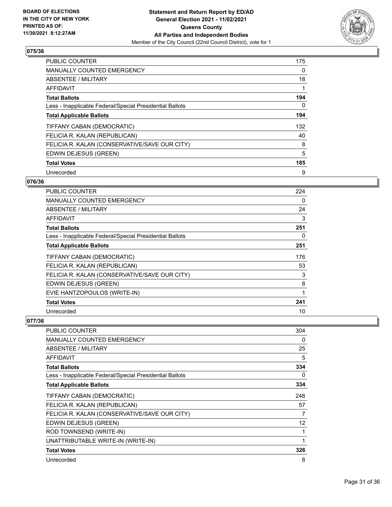

| <b>PUBLIC COUNTER</b>                                    | 175 |
|----------------------------------------------------------|-----|
| MANUALLY COUNTED EMERGENCY                               | 0   |
| ABSENTEE / MILITARY                                      | 18  |
| <b>AFFIDAVIT</b>                                         |     |
| <b>Total Ballots</b>                                     | 194 |
| Less - Inapplicable Federal/Special Presidential Ballots | 0   |
| <b>Total Applicable Ballots</b>                          | 194 |
| TIFFANY CABAN (DEMOCRATIC)                               | 132 |
| FELICIA R. KALAN (REPUBLICAN)                            | 40  |
| FELICIA R. KALAN (CONSERVATIVE/SAVE OUR CITY)            | 8   |
| EDWIN DEJESUS (GREEN)                                    | 5   |
| <b>Total Votes</b>                                       | 185 |
| Unrecorded                                               | 9   |

# **076/36**

| PUBLIC COUNTER                                           | 224 |
|----------------------------------------------------------|-----|
| <b>MANUALLY COUNTED EMERGENCY</b>                        | 0   |
| ABSENTEE / MILITARY                                      | 24  |
| AFFIDAVIT                                                | 3   |
| <b>Total Ballots</b>                                     | 251 |
| Less - Inapplicable Federal/Special Presidential Ballots | 0   |
| <b>Total Applicable Ballots</b>                          | 251 |
| TIFFANY CABAN (DEMOCRATIC)                               | 176 |
| FELICIA R. KALAN (REPUBLICAN)                            | 53  |
| FELICIA R. KALAN (CONSERVATIVE/SAVE OUR CITY)            | 3   |
| EDWIN DEJESUS (GREEN)                                    | 8   |
| EVIE HANTZOPOULOS (WRITE-IN)                             | 1   |
| <b>Total Votes</b>                                       | 241 |
| Unrecorded                                               | 10  |

| PUBLIC COUNTER                                           | 304         |
|----------------------------------------------------------|-------------|
| <b>MANUALLY COUNTED EMERGENCY</b>                        | 0           |
| ABSENTEE / MILITARY                                      | 25          |
| AFFIDAVIT                                                | 5           |
| <b>Total Ballots</b>                                     | 334         |
| Less - Inapplicable Federal/Special Presidential Ballots | 0           |
| <b>Total Applicable Ballots</b>                          | 334         |
| TIFFANY CABAN (DEMOCRATIC)                               | 248         |
| FELICIA R. KALAN (REPUBLICAN)                            | 57          |
| FELICIA R. KALAN (CONSERVATIVE/SAVE OUR CITY)            | 7           |
| EDWIN DEJESUS (GREEN)                                    | 12          |
| ROD TOWNSEND (WRITE-IN)                                  |             |
| UNATTRIBUTABLE WRITE-IN (WRITE-IN)                       | $\mathbf 1$ |
| <b>Total Votes</b>                                       | 326         |
| Unrecorded                                               | 8           |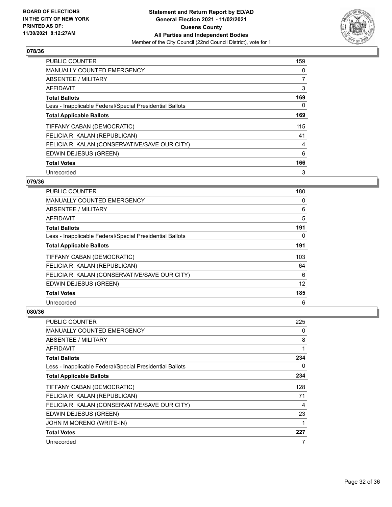

| PUBLIC COUNTER                                           | 159 |
|----------------------------------------------------------|-----|
| <b>MANUALLY COUNTED EMERGENCY</b>                        | 0   |
| ABSENTEE / MILITARY                                      | 7   |
| <b>AFFIDAVIT</b>                                         | 3   |
| <b>Total Ballots</b>                                     | 169 |
| Less - Inapplicable Federal/Special Presidential Ballots | 0   |
| <b>Total Applicable Ballots</b>                          | 169 |
| TIFFANY CABAN (DEMOCRATIC)                               | 115 |
| FELICIA R. KALAN (REPUBLICAN)                            | 41  |
| FELICIA R. KALAN (CONSERVATIVE/SAVE OUR CITY)            | 4   |
| EDWIN DEJESUS (GREEN)                                    | 6   |
| <b>Total Votes</b>                                       | 166 |
| Unrecorded                                               | 3   |

## **079/36**

| PUBLIC COUNTER                                           | 180 |
|----------------------------------------------------------|-----|
| <b>MANUALLY COUNTED EMERGENCY</b>                        | 0   |
| ABSENTEE / MILITARY                                      | 6   |
| AFFIDAVIT                                                | 5   |
| <b>Total Ballots</b>                                     | 191 |
| Less - Inapplicable Federal/Special Presidential Ballots | 0   |
| <b>Total Applicable Ballots</b>                          |     |
| TIFFANY CABAN (DEMOCRATIC)                               | 103 |
| FELICIA R. KALAN (REPUBLICAN)                            | 64  |
| FELICIA R. KALAN (CONSERVATIVE/SAVE OUR CITY)            | 6   |
| EDWIN DEJESUS (GREEN)                                    | 12  |
| <b>Total Votes</b>                                       | 185 |
| Unrecorded                                               | 6   |

| <b>PUBLIC COUNTER</b>                                    | 225 |
|----------------------------------------------------------|-----|
| <b>MANUALLY COUNTED EMERGENCY</b>                        | 0   |
| ABSENTEE / MILITARY                                      | 8   |
| AFFIDAVIT                                                | 1   |
| <b>Total Ballots</b>                                     | 234 |
| Less - Inapplicable Federal/Special Presidential Ballots | 0   |
| <b>Total Applicable Ballots</b>                          | 234 |
| TIFFANY CABAN (DEMOCRATIC)                               | 128 |
| FELICIA R. KALAN (REPUBLICAN)                            | 71  |
| FELICIA R. KALAN (CONSERVATIVE/SAVE OUR CITY)            | 4   |
| EDWIN DEJESUS (GREEN)                                    | 23  |
| JOHN M MORENO (WRITE-IN)                                 |     |
| <b>Total Votes</b>                                       | 227 |
| Unrecorded                                               | 7   |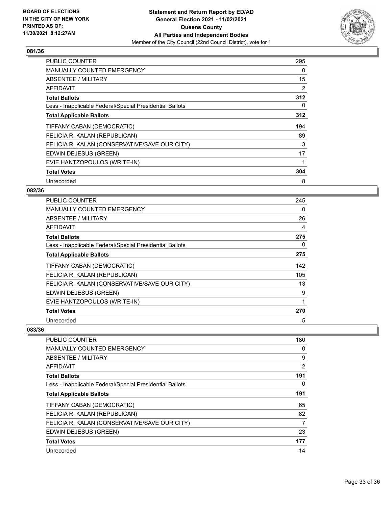

| <b>PUBLIC COUNTER</b>                                    | 295 |
|----------------------------------------------------------|-----|
| <b>MANUALLY COUNTED EMERGENCY</b>                        | 0   |
| ABSENTEE / MILITARY                                      | 15  |
| AFFIDAVIT                                                | 2   |
| <b>Total Ballots</b>                                     | 312 |
| Less - Inapplicable Federal/Special Presidential Ballots | 0   |
| <b>Total Applicable Ballots</b>                          | 312 |
| TIFFANY CABAN (DEMOCRATIC)                               | 194 |
| FELICIA R. KALAN (REPUBLICAN)                            | 89  |
| FELICIA R. KALAN (CONSERVATIVE/SAVE OUR CITY)            | 3   |
| EDWIN DEJESUS (GREEN)                                    | 17  |
| EVIE HANTZOPOULOS (WRITE-IN)                             | 1   |
| <b>Total Votes</b>                                       | 304 |
| Unrecorded                                               | 8   |

## **082/36**

| PUBLIC COUNTER                                           | 245 |
|----------------------------------------------------------|-----|
| <b>MANUALLY COUNTED EMERGENCY</b>                        | 0   |
| ABSENTEE / MILITARY                                      | 26  |
| AFFIDAVIT                                                | 4   |
| <b>Total Ballots</b>                                     | 275 |
| Less - Inapplicable Federal/Special Presidential Ballots | 0   |
| <b>Total Applicable Ballots</b>                          | 275 |
| TIFFANY CABAN (DEMOCRATIC)                               | 142 |
| FELICIA R. KALAN (REPUBLICAN)                            | 105 |
| FELICIA R. KALAN (CONSERVATIVE/SAVE OUR CITY)            | 13  |
| EDWIN DEJESUS (GREEN)                                    | 9   |
| EVIE HANTZOPOULOS (WRITE-IN)                             | 1   |
| <b>Total Votes</b>                                       | 270 |
| Unrecorded                                               | 5   |

| PUBLIC COUNTER                                           | 180            |
|----------------------------------------------------------|----------------|
| <b>MANUALLY COUNTED EMERGENCY</b>                        | 0              |
| ABSENTEE / MILITARY                                      | 9              |
| AFFIDAVIT                                                | $\overline{2}$ |
| <b>Total Ballots</b>                                     | 191            |
| Less - Inapplicable Federal/Special Presidential Ballots | 0              |
| <b>Total Applicable Ballots</b>                          | 191            |
| TIFFANY CABAN (DEMOCRATIC)                               | 65             |
| FELICIA R. KALAN (REPUBLICAN)                            | 82             |
| FELICIA R. KALAN (CONSERVATIVE/SAVE OUR CITY)            | 7              |
| EDWIN DEJESUS (GREEN)                                    | 23             |
| <b>Total Votes</b>                                       | 177            |
| Unrecorded                                               | 14             |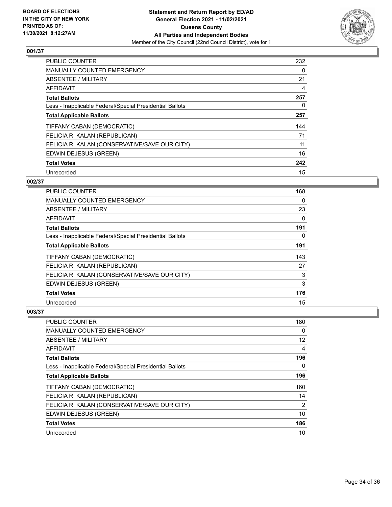

| PUBLIC COUNTER                                           | 232      |
|----------------------------------------------------------|----------|
| <b>MANUALLY COUNTED EMERGENCY</b>                        | $\Omega$ |
| ABSENTEE / MILITARY                                      | 21       |
| AFFIDAVIT                                                | 4        |
| <b>Total Ballots</b>                                     | 257      |
| Less - Inapplicable Federal/Special Presidential Ballots | $\Omega$ |
| <b>Total Applicable Ballots</b>                          | 257      |
| TIFFANY CABAN (DEMOCRATIC)                               | 144      |
| FELICIA R. KALAN (REPUBLICAN)                            | 71       |
| FELICIA R. KALAN (CONSERVATIVE/SAVE OUR CITY)            | 11       |
| EDWIN DEJESUS (GREEN)                                    | 16       |
| <b>Total Votes</b>                                       | 242      |
| Unrecorded                                               | 15       |

## **002/37**

| PUBLIC COUNTER                                           | 168 |
|----------------------------------------------------------|-----|
| <b>MANUALLY COUNTED EMERGENCY</b>                        | 0   |
| ABSENTEE / MILITARY                                      | 23  |
| AFFIDAVIT                                                | 0   |
| <b>Total Ballots</b>                                     | 191 |
| Less - Inapplicable Federal/Special Presidential Ballots | 0   |
| <b>Total Applicable Ballots</b>                          |     |
| TIFFANY CABAN (DEMOCRATIC)                               | 143 |
| FELICIA R. KALAN (REPUBLICAN)                            | 27  |
| FELICIA R. KALAN (CONSERVATIVE/SAVE OUR CITY)            | 3   |
| EDWIN DEJESUS (GREEN)                                    | 3   |
| <b>Total Votes</b>                                       | 176 |
| Unrecorded                                               | 15  |

| PUBLIC COUNTER                                           | 180            |
|----------------------------------------------------------|----------------|
| <b>MANUALLY COUNTED EMERGENCY</b>                        | 0              |
| ABSENTEE / MILITARY                                      | 12             |
| AFFIDAVIT                                                | 4              |
| <b>Total Ballots</b>                                     | 196            |
| Less - Inapplicable Federal/Special Presidential Ballots | $\Omega$       |
| <b>Total Applicable Ballots</b>                          | 196            |
| TIFFANY CABAN (DEMOCRATIC)                               | 160            |
| FELICIA R. KALAN (REPUBLICAN)                            | 14             |
| FELICIA R. KALAN (CONSERVATIVE/SAVE OUR CITY)            | $\overline{2}$ |
| EDWIN DEJESUS (GREEN)                                    | 10             |
| <b>Total Votes</b>                                       | 186            |
| Unrecorded                                               | 10             |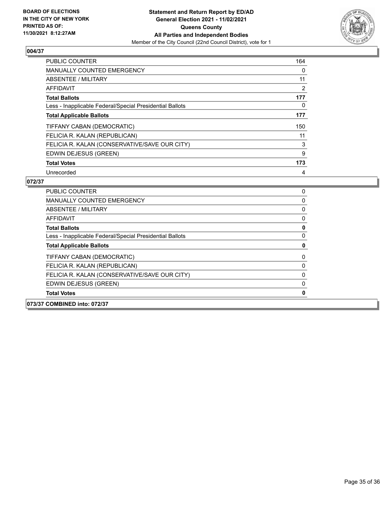

| <b>PUBLIC COUNTER</b>                                    | 164 |
|----------------------------------------------------------|-----|
| <b>MANUALLY COUNTED EMERGENCY</b>                        | 0   |
| ABSENTEE / MILITARY                                      | 11  |
| <b>AFFIDAVIT</b>                                         | 2   |
| <b>Total Ballots</b>                                     | 177 |
| Less - Inapplicable Federal/Special Presidential Ballots | 0   |
| <b>Total Applicable Ballots</b>                          | 177 |
| TIFFANY CABAN (DEMOCRATIC)                               | 150 |
| FELICIA R. KALAN (REPUBLICAN)                            | 11  |
| FELICIA R. KALAN (CONSERVATIVE/SAVE OUR CITY)            | 3   |
| EDWIN DEJESUS (GREEN)                                    | 9   |
| <b>Total Votes</b>                                       | 173 |
| Unrecorded                                               | 4   |

|                      | 073/37 COMBINED into: 072/37                             |   |
|----------------------|----------------------------------------------------------|---|
| <b>Total Votes</b>   |                                                          | 0 |
|                      | EDWIN DEJESUS (GREEN)                                    | 0 |
|                      | FELICIA R. KALAN (CONSERVATIVE/SAVE OUR CITY)            | 0 |
|                      | FELICIA R. KALAN (REPUBLICAN)                            | 0 |
|                      | TIFFANY CABAN (DEMOCRATIC)                               | 0 |
|                      | <b>Total Applicable Ballots</b>                          | 0 |
|                      | Less - Inapplicable Federal/Special Presidential Ballots | 0 |
| <b>Total Ballots</b> |                                                          | 0 |
| AFFIDAVIT            |                                                          | 0 |
|                      | ABSENTEE / MILITARY                                      | 0 |
|                      | <b>MANUALLY COUNTED EMERGENCY</b>                        | 0 |
|                      | PUBLIC COUNTER                                           | 0 |